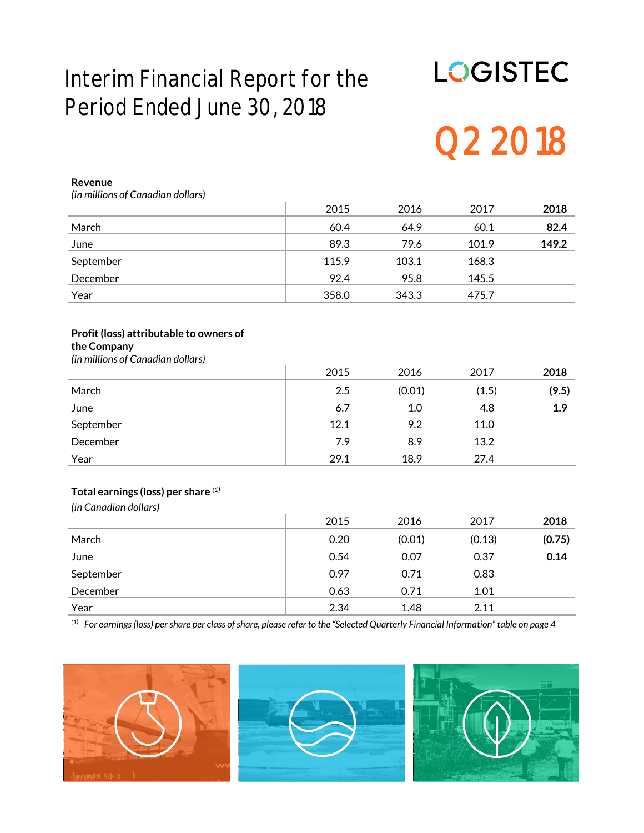# **Interim Financial Report for the Period Ended June 30, 2018**

# **LOGISTEC Q2 2018**

#### **Revenue**

*(in millions of Canadian dollars)*

|           | 2015  | 2016  | 2017  | 2018  |
|-----------|-------|-------|-------|-------|
| March     | 60.4  | 64.9  | 60.1  | 82.4  |
| June      | 89.3  | 79.6  | 101.9 | 149.2 |
| September | 115.9 | 103.1 | 168.3 |       |
| December  | 92.4  | 95.8  | 145.5 |       |
| Year      | 358.0 | 343.3 | 475.7 |       |

#### **Profit (loss) attributable to owners of the Company**

*(in millions of Canadian dollars)*

|           | 2015 | 2016   | 2017  | 2018  |
|-----------|------|--------|-------|-------|
| March     | 2.5  | (0.01) | (1.5) | (9.5) |
| June      | 6.7  | 1.0    | 4.8   | 1.9   |
| September | 12.1 | 9.2    | 11.0  |       |
| December  | 7.9  | 8.9    | 13.2  |       |
| Year      | 29.1 | 18.9   | 27.4  |       |

#### **Total earnings (loss) per share** *(1)*

*(in Canadian dollars)*

|           | 2015 | 2016   | 2017   | 2018   |
|-----------|------|--------|--------|--------|
| March     | 0.20 | (0.01) | (0.13) | (0.75) |
| June      | 0.54 | 0.07   | 0.37   | 0.14   |
| September | 0.97 | 0.71   | 0.83   |        |
| December  | 0.63 | 0.71   | 1.01   |        |
| Year      | 2.34 | 1.48   | 2.11   |        |

*(1) For earnings (loss) per share per class of share, please refer to the "Selected Quarterly Financial Information" table on page 4*





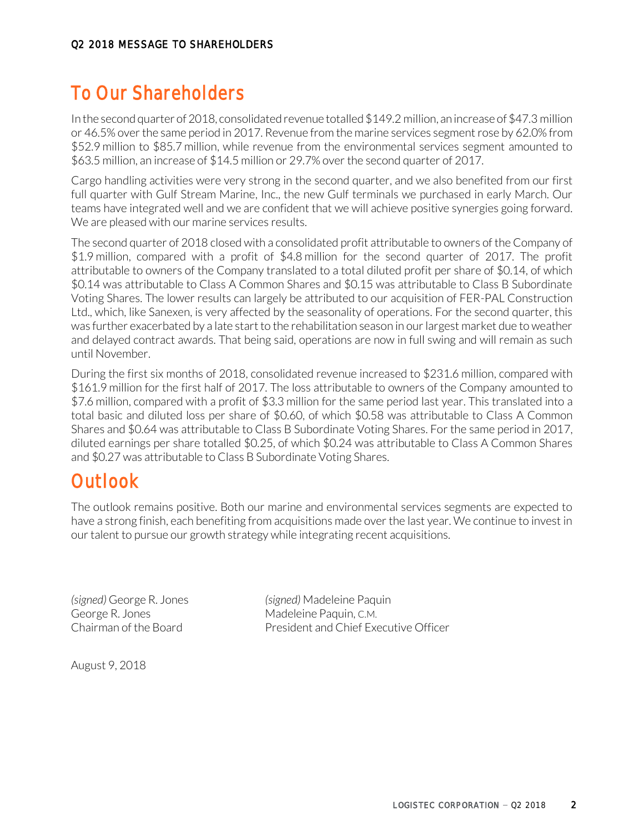# **To Our Shareholders**

In the second quarter of 2018, consolidated revenue totalled \$149.2 million, an increase of \$47.3 million or 46.5% over the same period in 2017. Revenue from the marine services segment rose by 62.0% from \$52.9 million to \$85.7 million, while revenue from the environmental services segment amounted to \$63.5 million, an increase of \$14.5 million or 29.7% over the second quarter of 2017.

Cargo handling activities were very strong in the second quarter, and we also benefited from our first full quarter with Gulf Stream Marine, Inc., the new Gulf terminals we purchased in early March. Our teams have integrated well and we are confident that we will achieve positive synergies going forward. We are pleased with our marine services results.

The second quarter of 2018 closed with a consolidated profit attributable to owners of the Company of \$1.9 million, compared with a profit of \$4.8 million for the second quarter of 2017. The profit attributable to owners of the Company translated to a total diluted profit per share of \$0.14, of which \$0.14 was attributable to Class A Common Shares and \$0.15 was attributable to Class B Subordinate Voting Shares. The lower results can largely be attributed to our acquisition of FER-PAL Construction Ltd., which, like Sanexen, is very affected by the seasonality of operations. For the second quarter, this was further exacerbated by a late start to the rehabilitation season in our largest market due to weather and delayed contract awards. That being said, operations are now in full swing and will remain as such until November.

During the first six months of 2018, consolidated revenue increased to \$231.6 million, compared with \$161.9 million for the first half of 2017. The loss attributable to owners of the Company amounted to \$7.6 million, compared with a profit of \$3.3 million for the same period last year. This translated into a total basic and diluted loss per share of \$0.60, of which \$0.58 was attributable to Class A Common Shares and \$0.64 was attributable to Class B Subordinate Voting Shares. For the same period in 2017, diluted earnings per share totalled \$0.25, of which \$0.24 was attributable to Class A Common Shares and \$0.27 was attributable to Class B Subordinate Voting Shares.

# **Outlook**

The outlook remains positive. Both our marine and environmental services segments are expected to have a strong finish, each benefiting from acquisitions made over the last year. We continue to invest in our talent to pursue our growth strategy while integrating recent acquisitions.

George R. Jones **Madeleine Paquin, C.M.** 

*(signed)* George R. Jones *(signed)* Madeleine Paquin Chairman of the Board President and Chief Executive Officer

August 9, 2018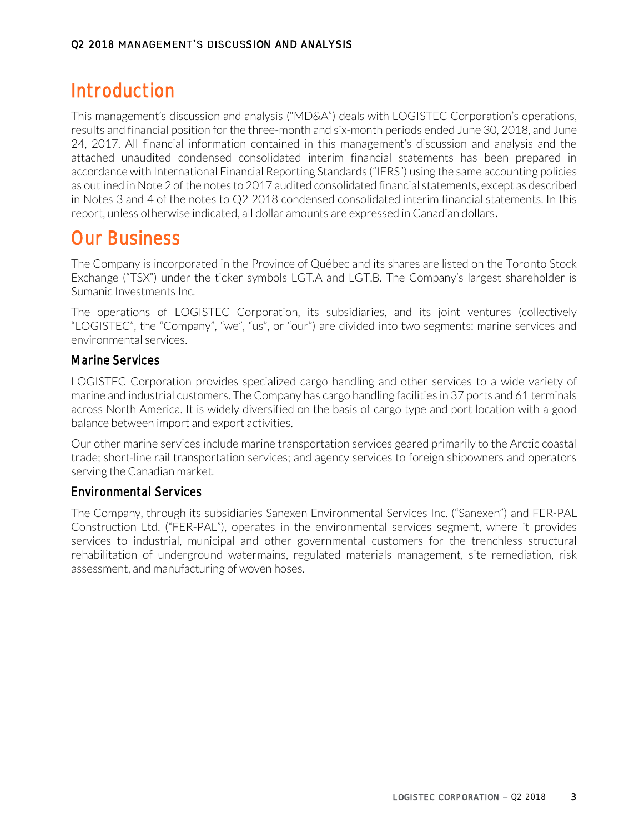# **Introduction**

This management's discussion and analysis ("MD&A") deals with LOGISTEC Corporation's operations, results and financial position for the three-month and six-month periods ended June 30, 2018, and June 24, 2017. All financial information contained in this management's discussion and analysis and the attached unaudited condensed consolidated interim financial statements has been prepared in accordance with International Financial Reporting Standards ("IFRS") using the same accounting policies as outlined in Note 2 of the notes to 2017 audited consolidated financial statements, except as described in Notes 3 and 4 of the notes to Q2 2018 condensed consolidated interim financial statements. In this report, unless otherwise indicated, all dollar amounts are expressed in Canadian dollars.

# **Our Business**

The Company is incorporated in the Province of Québec and its shares are listed on the Toronto Stock Exchange ("TSX") under the ticker symbols LGT.A and LGT.B. The Company's largest shareholder is Sumanic Investments Inc.

The operations of LOGISTEC Corporation, its subsidiaries, and its joint ventures (collectively "LOGISTEC", the "Company", "we", "us", or "our") are divided into two segments: marine services and environmental services.

# Marine Services

LOGISTEC Corporation provides specialized cargo handling and other services to a wide variety of marine and industrial customers. The Company has cargo handling facilities in 37 ports and 61 terminals across North America. It is widely diversified on the basis of cargo type and port location with a good balance between import and export activities.

Our other marine services include marine transportation services geared primarily to the Arctic coastal trade; short-line rail transportation services; and agency services to foreign shipowners and operators serving the Canadian market.

## Environmental Services

The Company, through its subsidiaries Sanexen Environmental Services Inc. ("Sanexen") and FER-PAL Construction Ltd. ("FER-PAL"), operates in the environmental services segment, where it provides services to industrial, municipal and other governmental customers for the trenchless structural rehabilitation of underground watermains, regulated materials management, site remediation, risk assessment, and manufacturing of woven hoses.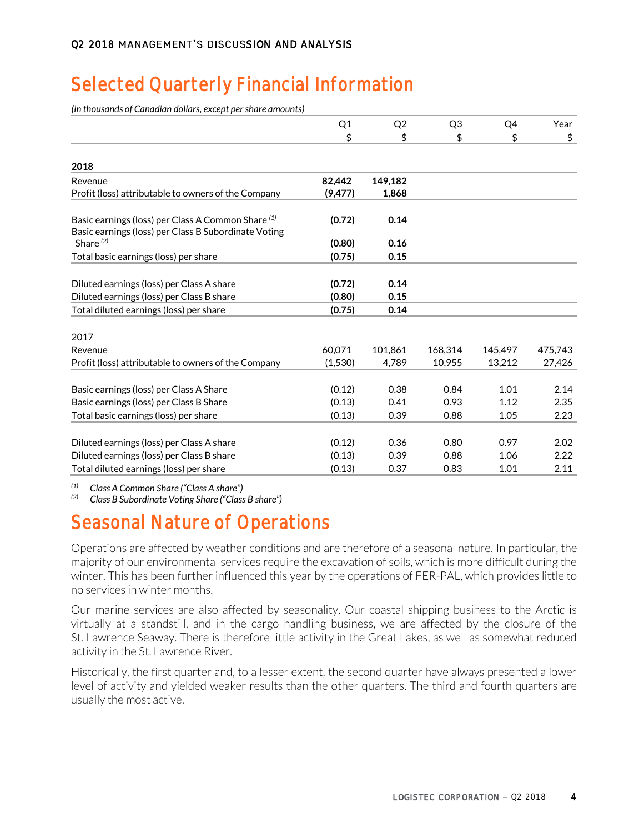# **Selected Quarterly Financial Information**

*(in thousands of Canadian dollars, except per share amounts)*

|                                                                                                            | Q1       | Q <sub>2</sub> | Q <sub>3</sub> | Q4      | Year    |
|------------------------------------------------------------------------------------------------------------|----------|----------------|----------------|---------|---------|
|                                                                                                            | \$       | \$             | \$             | \$      | \$      |
| 2018                                                                                                       |          |                |                |         |         |
| Revenue                                                                                                    | 82.442   | 149,182        |                |         |         |
| Profit (loss) attributable to owners of the Company                                                        | (9, 477) | 1,868          |                |         |         |
| Basic earnings (loss) per Class A Common Share (1)<br>Basic earnings (loss) per Class B Subordinate Voting | (0.72)   | 0.14           |                |         |         |
| Share $(2)$                                                                                                | (0.80)   | 0.16           |                |         |         |
| Total basic earnings (loss) per share                                                                      | (0.75)   | 0.15           |                |         |         |
|                                                                                                            |          |                |                |         |         |
| Diluted earnings (loss) per Class A share                                                                  | (0.72)   | 0.14           |                |         |         |
| Diluted earnings (loss) per Class B share                                                                  | (0.80)   | 0.15           |                |         |         |
| Total diluted earnings (loss) per share                                                                    | (0.75)   | 0.14           |                |         |         |
| 2017                                                                                                       |          |                |                |         |         |
| Revenue                                                                                                    | 60,071   | 101,861        | 168,314        | 145,497 | 475,743 |
| Profit (loss) attributable to owners of the Company                                                        | (1,530)  | 4.789          | 10.955         | 13.212  | 27,426  |
|                                                                                                            |          |                |                |         |         |
| Basic earnings (loss) per Class A Share                                                                    | (0.12)   | 0.38           | 0.84           | 1.01    | 2.14    |
| Basic earnings (loss) per Class B Share                                                                    | (0.13)   | 0.41           | 0.93           | 1.12    | 2.35    |
| Total basic earnings (loss) per share                                                                      | (0.13)   | 0.39           | 0.88           | 1.05    | 2.23    |
| Diluted earnings (loss) per Class A share                                                                  | (0.12)   | 0.36           | 0.80           | 0.97    | 2.02    |
| Diluted earnings (loss) per Class B share                                                                  | (0.13)   | 0.39           | 0.88           | 1.06    | 2.22    |
| Total diluted earnings (loss) per share                                                                    | (0.13)   | 0.37           | 0.83           | 1.01    | 2.11    |

*(1) Class A Common Share ("Class A share")*

*(2) Class B Subordinate Voting Share ("Class B share")*

# **Seasonal Nature of Operations**

Operations are affected by weather conditions and are therefore of a seasonal nature. In particular, the majority of our environmental services require the excavation of soils, which is more difficult during the winter. This has been further influenced this year by the operations of FER-PAL, which provides little to no services in winter months.

Our marine services are also affected by seasonality. Our coastal shipping business to the Arctic is virtually at a standstill, and in the cargo handling business, we are affected by the closure of the St. Lawrence Seaway. There is therefore little activity in the Great Lakes, as well as somewhat reduced activity in the St. Lawrence River.

Historically, the first quarter and, to a lesser extent, the second quarter have always presented a lower level of activity and yielded weaker results than the other quarters. The third and fourth quarters are usually the most active.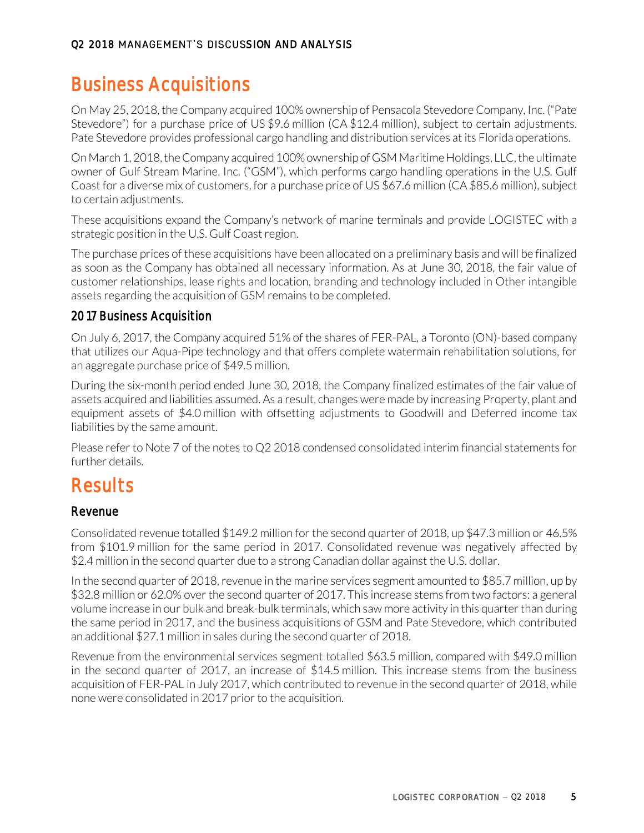# **Business Acquisitions**

On May 25, 2018, the Company acquired 100% ownership of Pensacola Stevedore Company, Inc. ("Pate Stevedore") for a purchase price of US \$9.6 million (CA \$12.4 million), subject to certain adjustments. Pate Stevedore provides professional cargo handling and distribution services at its Florida operations.

On March 1, 2018, the Company acquired 100% ownership of GSM Maritime Holdings, LLC, the ultimate owner of Gulf Stream Marine, Inc. ("GSM"), which performs cargo handling operations in the U.S. Gulf Coast for a diverse mix of customers, for a purchase price of US \$67.6 million (CA \$85.6 million), subject to certain adjustments.

These acquisitions expand the Company's network of marine terminals and provide LOGISTEC with a strategic position in the U.S. Gulf Coast region.

The purchase prices of these acquisitions have been allocated on a preliminary basis and will be finalized as soon as the Company has obtained all necessary information. As at June 30, 2018, the fair value of customer relationships, lease rights and location, branding and technology included in Other intangible assets regarding the acquisition of GSM remains to be completed.

# 2017 Business Acquisition

On July 6, 2017, the Company acquired 51% of the shares of FER-PAL, a Toronto (ON)-based company that utilizes our Aqua-Pipe technology and that offers complete watermain rehabilitation solutions, for an aggregate purchase price of \$49.5 million.

During the six-month period ended June 30, 2018, the Company finalized estimates of the fair value of assets acquired and liabilities assumed. As a result, changes were made by increasing Property, plant and equipment assets of \$4.0 million with offsetting adjustments to Goodwill and Deferred income tax liabilities by the same amount.

Please refer to Note 7 of the notes to Q2 2018 condensed consolidated interim financial statements for further details.

# **Results**

## Revenue

Consolidated revenue totalled \$149.2 million for the second quarter of 2018, up \$47.3 million or 46.5% from \$101.9 million for the same period in 2017. Consolidated revenue was negatively affected by \$2.4 million in the second quarter due to a strong Canadian dollar against the U.S. dollar.

In the second quarter of 2018, revenue in the marine services segment amounted to \$85.7 million, up by \$32.8 million or 62.0% over the second quarter of 2017. This increase stems from two factors: a general volume increase in our bulk and break-bulk terminals, which saw more activity in this quarter than during the same period in 2017, and the business acquisitions of GSM and Pate Stevedore, which contributed an additional \$27.1 million in sales during the second quarter of 2018.

Revenue from the environmental services segment totalled \$63.5 million, compared with \$49.0 million in the second quarter of 2017, an increase of \$14.5 million. This increase stems from the business acquisition of FER-PAL in July 2017, which contributed to revenue in the second quarter of 2018, while none were consolidated in 2017 prior to the acquisition.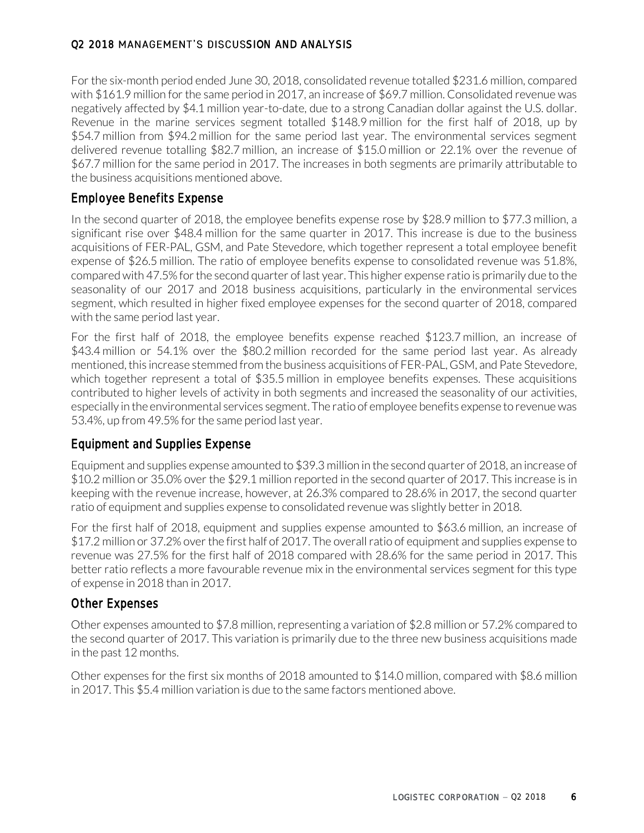For the six-month period ended June 30, 2018, consolidated revenue totalled \$231.6 million, compared with \$161.9 million for the same period in 2017, an increase of \$69.7 million. Consolidated revenue was negatively affected by \$4.1 million year-to-date, due to a strong Canadian dollar against the U.S. dollar. Revenue in the marine services segment totalled \$148.9 million for the first half of 2018, up by \$54.7 million from \$94.2 million for the same period last year. The environmental services segment delivered revenue totalling \$82.7 million, an increase of \$15.0 million or 22.1% over the revenue of \$67.7 million for the same period in 2017. The increases in both segments are primarily attributable to the business acquisitions mentioned above.

### Employee Benefits Expense

In the second quarter of 2018, the employee benefits expense rose by \$28.9 million to \$77.3 million, a significant rise over \$48.4 million for the same quarter in 2017. This increase is due to the business acquisitions of FER-PAL, GSM, and Pate Stevedore, which together represent a total employee benefit expense of \$26.5 million. The ratio of employee benefits expense to consolidated revenue was 51.8%, compared with 47.5% for the second quarter of last year. This higher expense ratio is primarily due to the seasonality of our 2017 and 2018 business acquisitions, particularly in the environmental services segment, which resulted in higher fixed employee expenses for the second quarter of 2018, compared with the same period last year.

For the first half of 2018, the employee benefits expense reached \$123.7 million, an increase of \$43.4 million or 54.1% over the \$80.2 million recorded for the same period last year. As already mentioned, this increase stemmed from the business acquisitions of FER-PAL, GSM, and Pate Stevedore, which together represent a total of \$35.5 million in employee benefits expenses. These acquisitions contributed to higher levels of activity in both segments and increased the seasonality of our activities, especially in the environmental services segment. The ratio of employee benefits expense to revenue was 53.4%, up from 49.5% for the same period last year.

## Equipment and Supplies Expense

Equipment and supplies expense amounted to \$39.3 million in the second quarter of 2018, an increase of \$10.2 million or 35.0% over the \$29.1 million reported in the second quarter of 2017. This increase is in keeping with the revenue increase, however, at 26.3% compared to 28.6% in 2017, the second quarter ratio of equipment and supplies expense to consolidated revenue was slightly better in 2018.

For the first half of 2018, equipment and supplies expense amounted to \$63.6 million, an increase of \$17.2 million or 37.2% over the first half of 2017. The overall ratio of equipment and supplies expense to revenue was 27.5% for the first half of 2018 compared with 28.6% for the same period in 2017. This better ratio reflects a more favourable revenue mix in the environmental services segment for this type of expense in 2018 than in 2017.

### Other Expenses

Other expenses amounted to \$7.8 million, representing a variation of \$2.8 million or 57.2% compared to the second quarter of 2017. This variation is primarily due to the three new business acquisitions made in the past 12 months.

Other expenses for the first six months of 2018 amounted to \$14.0 million, compared with \$8.6 million in 2017. This \$5.4 million variation is due to the same factors mentioned above.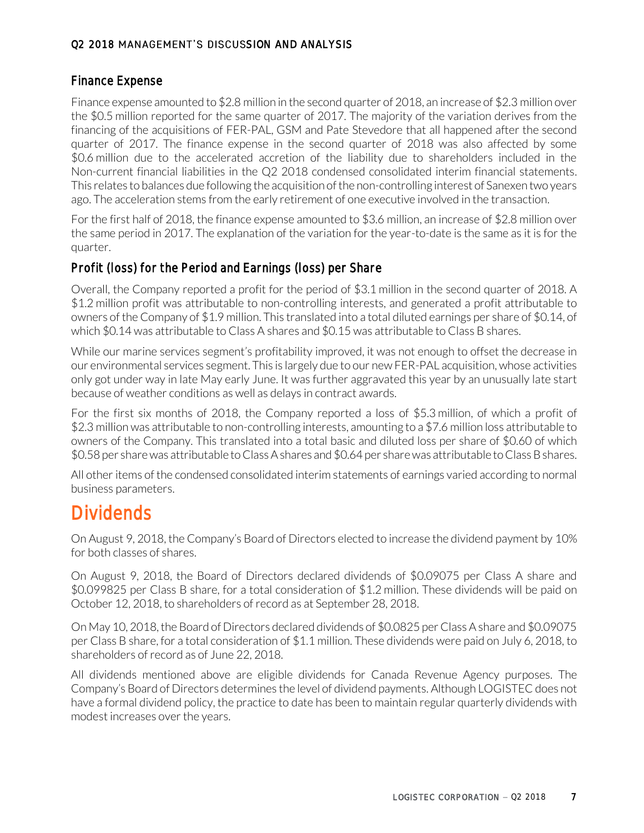### Finance Expense

Finance expense amounted to \$2.8 million in the second quarter of 2018, an increase of \$2.3 million over the \$0.5 million reported for the same quarter of 2017. The majority of the variation derives from the financing of the acquisitions of FER-PAL, GSM and Pate Stevedore that all happened after the second quarter of 2017. The finance expense in the second quarter of 2018 was also affected by some \$0.6 million due to the accelerated accretion of the liability due to shareholders included in the Non-current financial liabilities in the Q2 2018 condensed consolidated interim financial statements. This relates to balances due following the acquisition of the non-controlling interest of Sanexen two years ago. The acceleration stems from the early retirement of one executive involved in the transaction.

For the first half of 2018, the finance expense amounted to \$3.6 million, an increase of \$2.8 million over the same period in 2017. The explanation of the variation for the year-to-date is the same as it is for the quarter.

## Profit (loss) for the Period and Earnings (loss) per Share

Overall, the Company reported a profit for the period of \$3.1 million in the second quarter of 2018. A \$1.2 million profit was attributable to non-controlling interests, and generated a profit attributable to owners of the Company of \$1.9 million. This translated into a total diluted earnings per share of \$0.14, of which \$0.14 was attributable to Class A shares and \$0.15 was attributable to Class B shares.

While our marine services segment's profitability improved, it was not enough to offset the decrease in our environmental services segment. This is largely due to our new FER-PAL acquisition, whose activities only got under way in late May early June. It was further aggravated this year by an unusually late start because of weather conditions as well as delays in contract awards.

For the first six months of 2018, the Company reported a loss of \$5.3 million, of which a profit of \$2.3 million was attributable to non-controlling interests, amounting to a \$7.6 million loss attributable to owners of the Company. This translated into a total basic and diluted loss per share of \$0.60 of which \$0.58 per share was attributable to Class A shares and \$0.64 per share was attributable to Class B shares.

All other items of the condensed consolidated interim statements of earnings varied according to normal business parameters.

# **Dividends**

On August 9, 2018, the Company's Board of Directors elected to increase the dividend payment by 10% for both classes of shares.

On August 9, 2018, the Board of Directors declared dividends of \$0.09075 per Class A share and \$0.099825 per Class B share, for a total consideration of \$1.2 million. These dividends will be paid on October 12, 2018, to shareholders of record as at September 28, 2018.

On May 10, 2018, the Board of Directors declared dividends of \$0.0825 per Class A share and \$0.09075 per Class B share, for a total consideration of \$1.1 million. These dividends were paid on July 6, 2018, to shareholders of record as of June 22, 2018.

All dividends mentioned above are eligible dividends for Canada Revenue Agency purposes. The Company's Board of Directors determines the level of dividend payments. Although LOGISTEC does not have a formal dividend policy, the practice to date has been to maintain regular quarterly dividends with modest increases over the years.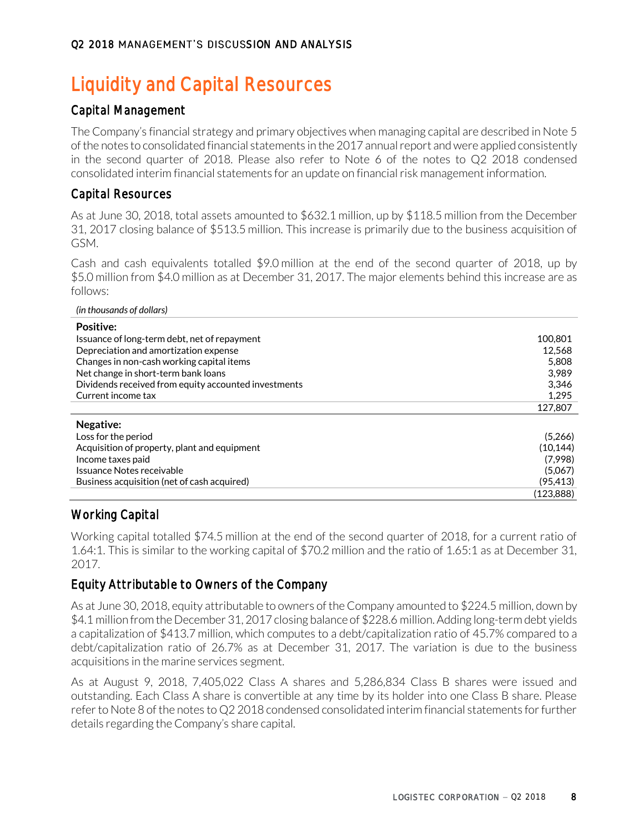# **Liquidity and Capital Resources**

# Capital Management

The Company's financial strategy and primary objectives when managing capital are described in Note 5 of the notes to consolidated financial statements in the 2017 annual report and were applied consistently in the second quarter of 2018. Please also refer to Note 6 of the notes to Q2 2018 condensed consolidated interim financial statements for an update on financial risk management information.

# Capital Resources

As at June 30, 2018, total assets amounted to \$632.1 million, up by \$118.5 million from the December 31, 2017 closing balance of \$513.5 million. This increase is primarily due to the business acquisition of GSM.

Cash and cash equivalents totalled \$9.0 million at the end of the second quarter of 2018, up by \$5.0 million from \$4.0 million as at December 31, 2017. The major elements behind this increase are as follows:

#### *(in thousands of dollars)*

| <b>Positive:</b>                                     |           |
|------------------------------------------------------|-----------|
| Issuance of long-term debt, net of repayment         | 100.801   |
| Depreciation and amortization expense                | 12.568    |
| Changes in non-cash working capital items            | 5.808     |
| Net change in short-term bank loans                  | 3.989     |
| Dividends received from equity accounted investments | 3.346     |
| Current income tax                                   | 1,295     |
|                                                      | 127.807   |
| Negative:                                            |           |
| Loss for the period                                  | (5,266)   |
| Acquisition of property, plant and equipment         | (10.144)  |
| Income taxes paid                                    | (7,998)   |
| Issuance Notes receivable                            | (5,067)   |
| Business acquisition (net of cash acquired)          | (95, 413) |
|                                                      | (123.888) |

## Working Capital

Working capital totalled \$74.5 million at the end of the second quarter of 2018, for a current ratio of 1.64:1. This is similar to the working capital of \$70.2 million and the ratio of 1.65:1 as at December 31, 2017.

## Equity Attributable to Owners of the Company

As at June 30, 2018, equity attributable to owners of the Company amounted to \$224.5 million, down by \$4.1 million from the December 31, 2017 closing balance of \$228.6 million. Adding long-term debt yields a capitalization of \$413.7 million, which computes to a debt/capitalization ratio of 45.7% compared to a debt/capitalization ratio of 26.7% as at December 31, 2017. The variation is due to the business acquisitions in the marine services segment.

As at August 9, 2018, 7,405,022 Class A shares and 5,286,834 Class B shares were issued and outstanding. Each Class A share is convertible at any time by its holder into one Class B share. Please refer to Note 8 of the notes to Q2 2018 condensed consolidated interim financial statements for further details regarding the Company's share capital.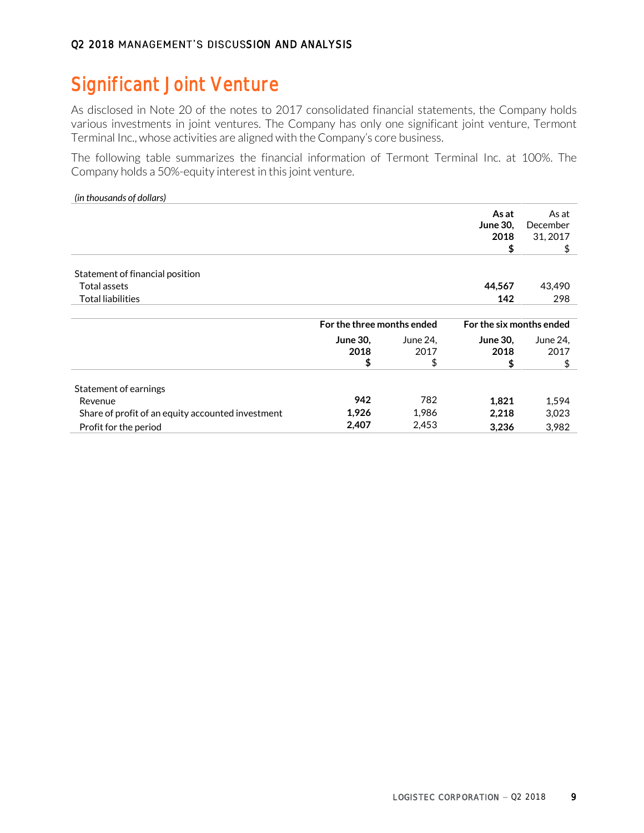# **Significant Joint Venture**

As disclosed in Note 20 of the notes to 2017 consolidated financial statements, the Company holds various investments in joint ventures. The Company has only one significant joint venture, Termont Terminal Inc., whose activities are aligned with the Company's core business.

The following table summarizes the financial information of Termont Terminal Inc. at 100%. The Company holds a 50%-equity interest in this joint venture.

#### *(in thousands of dollars)*

|                                                   |                         |                                                        | As at<br><b>June 30,</b><br>2018<br>\$ | As at<br>December<br>31, 2017<br>\$ |
|---------------------------------------------------|-------------------------|--------------------------------------------------------|----------------------------------------|-------------------------------------|
| Statement of financial position                   |                         |                                                        |                                        |                                     |
| Total assets                                      |                         |                                                        | 44,567                                 | 43,490                              |
| <b>Total liabilities</b>                          |                         |                                                        | 142                                    | 298                                 |
|                                                   |                         | For the three months ended<br>For the six months ended |                                        |                                     |
|                                                   | <b>June 30,</b><br>2018 | June 24,<br>2017                                       | <b>June 30.</b><br>2018                | June 24,<br>2017                    |
|                                                   | \$                      | \$                                                     | \$                                     | \$                                  |
| Statement of earnings                             |                         |                                                        |                                        |                                     |
| Revenue                                           | 942                     | 782                                                    | 1,821                                  | 1,594                               |
| Share of profit of an equity accounted investment | 1,926                   | 1,986                                                  | 2,218                                  | 3,023                               |
| Profit for the period                             | 2,407                   | 2,453                                                  | 3,236                                  | 3,982                               |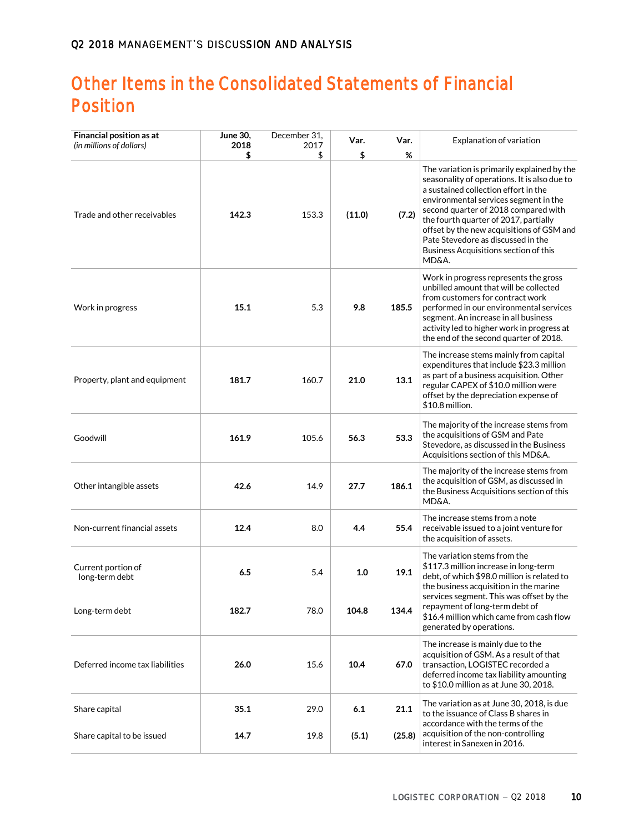# **Other Items in the Consolidated Statements of Financial Position**

| Financial position as at<br>(in millions of dollars) | June 30,<br>2018 | December 31,<br>2017 | Var.   | Var.   | Explanation of variation                                                                                                                                                                                                                                                                                                                                                                           |
|------------------------------------------------------|------------------|----------------------|--------|--------|----------------------------------------------------------------------------------------------------------------------------------------------------------------------------------------------------------------------------------------------------------------------------------------------------------------------------------------------------------------------------------------------------|
|                                                      | \$               | \$                   | \$     | %      |                                                                                                                                                                                                                                                                                                                                                                                                    |
| Trade and other receivables                          | 142.3            | 153.3                | (11.0) | (7.2)  | The variation is primarily explained by the<br>seasonality of operations. It is also due to<br>a sustained collection effort in the<br>environmental services segment in the<br>second quarter of 2018 compared with<br>the fourth quarter of 2017, partially<br>offset by the new acquisitions of GSM and<br>Pate Stevedore as discussed in the<br>Business Acquisitions section of this<br>MD&A. |
| Work in progress                                     | 15.1             | 5.3                  | 9.8    | 185.5  | Work in progress represents the gross<br>unbilled amount that will be collected<br>from customers for contract work<br>performed in our environmental services<br>segment. An increase in all business<br>activity led to higher work in progress at<br>the end of the second quarter of 2018.                                                                                                     |
| Property, plant and equipment                        | 181.7            | 160.7                | 21.0   | 13.1   | The increase stems mainly from capital<br>expenditures that include \$23.3 million<br>as part of a business acquisition. Other<br>regular CAPEX of \$10.0 million were<br>offset by the depreciation expense of<br>\$10.8 million.                                                                                                                                                                 |
| Goodwill                                             | 161.9            | 105.6                | 56.3   | 53.3   | The majority of the increase stems from<br>the acquisitions of GSM and Pate<br>Stevedore, as discussed in the Business<br>Acquisitions section of this MD&A.                                                                                                                                                                                                                                       |
| Other intangible assets                              | 42.6             | 14.9                 | 27.7   | 186.1  | The majority of the increase stems from<br>the acquisition of GSM, as discussed in<br>the Business Acquisitions section of this<br>MD&A.                                                                                                                                                                                                                                                           |
| Non-current financial assets                         | 12.4             | 8.0                  | 4.4    | 55.4   | The increase stems from a note<br>receivable issued to a joint venture for<br>the acquisition of assets.                                                                                                                                                                                                                                                                                           |
| Current portion of<br>long-term debt                 | 6.5              | 5.4                  | 1.0    | 19.1   | The variation stems from the<br>\$117.3 million increase in long-term<br>debt, of which \$98.0 million is related to<br>the business acquisition in the marine<br>services segment. This was offset by the                                                                                                                                                                                         |
| Long-term debt                                       | 182.7            | 78.0                 | 104.8  | 134.4  | repayment of long-term debt of<br>\$16.4 million which came from cash flow<br>generated by operations.                                                                                                                                                                                                                                                                                             |
| Deferred income tax liabilities                      | 26.0             | 15.6                 | 10.4   | 67.0   | The increase is mainly due to the<br>acquisition of GSM. As a result of that<br>transaction, LOGISTEC recorded a<br>deferred income tax liability amounting<br>to \$10.0 million as at June 30, 2018.                                                                                                                                                                                              |
| Share capital                                        | 35.1             | 29.0                 | 6.1    | 21.1   | The variation as at June 30, 2018, is due<br>to the issuance of Class B shares in<br>accordance with the terms of the                                                                                                                                                                                                                                                                              |
| Share capital to be issued                           | 14.7             | 19.8                 | (5.1)  | (25.8) | acquisition of the non-controlling<br>interest in Sanexen in 2016.                                                                                                                                                                                                                                                                                                                                 |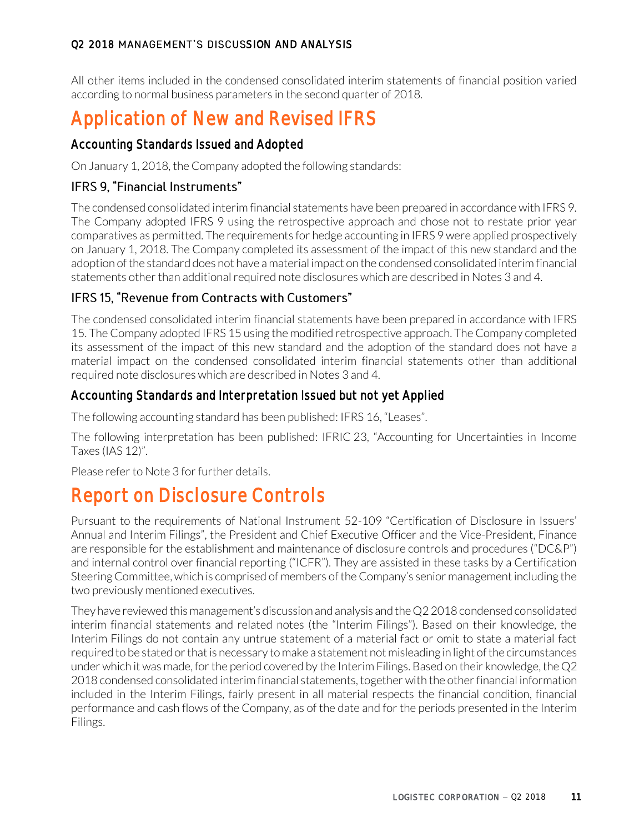All other items included in the condensed consolidated interim statements of financial position varied according to normal business parameters in the second quarter of 2018.

# **Application of New and Revised IFRS**

# Accounting Standards Issued and Adopted

On January 1, 2018, the Company adopted the following standards:

# IFRS 9. "Financial Instruments"

The condensed consolidated interim financial statements have been prepared in accordance with IFRS 9. The Company adopted IFRS 9 using the retrospective approach and chose not to restate prior year comparatives as permitted. The requirements for hedge accounting in IFRS 9 were applied prospectively on January 1, 2018. The Company completed its assessment of the impact of this new standard and the adoption of the standard does not have a material impact on the condensed consolidated interim financial statements other than additional required note disclosures which are described in Notes 3 and 4.

# IFRS 15, "Revenue from Contracts with Customers"

The condensed consolidated interim financial statements have been prepared in accordance with IFRS 15. The Company adopted IFRS 15 using the modified retrospective approach. The Company completed its assessment of the impact of this new standard and the adoption of the standard does not have a material impact on the condensed consolidated interim financial statements other than additional required note disclosures which are described in Notes 3 and 4.

# Accounting Standards and Interpretation Issued but not yet Applied

The following accounting standard has been published: IFRS 16, "Leases".

The following interpretation has been published: IFRIC 23, "Accounting for Uncertainties in Income Taxes (IAS 12)".

Please refer to Note 3 for further details.

# **Report on Disclosure Controls**

Pursuant to the requirements of National Instrument 52-109 "Certification of Disclosure in Issuers' Annual and Interim Filings", the President and Chief Executive Officer and the Vice-President, Finance are responsible for the establishment and maintenance of disclosure controls and procedures ("DC&P") and internal control over financial reporting ("ICFR"). They are assisted in these tasks by a Certification Steering Committee, which is comprised of members of the Company's senior management including the two previously mentioned executives.

They have reviewed this management's discussion and analysis and the Q2 2018 condensed consolidated interim financial statements and related notes (the "Interim Filings"). Based on their knowledge, the Interim Filings do not contain any untrue statement of a material fact or omit to state a material fact required to be stated or that is necessary to make a statement not misleading in light of the circumstances under which it was made, for the period covered by the Interim Filings. Based on their knowledge, the Q2 2018 condensed consolidated interim financial statements, together with the other financial information included in the Interim Filings, fairly present in all material respects the financial condition, financial performance and cash flows of the Company, as of the date and for the periods presented in the Interim Filings.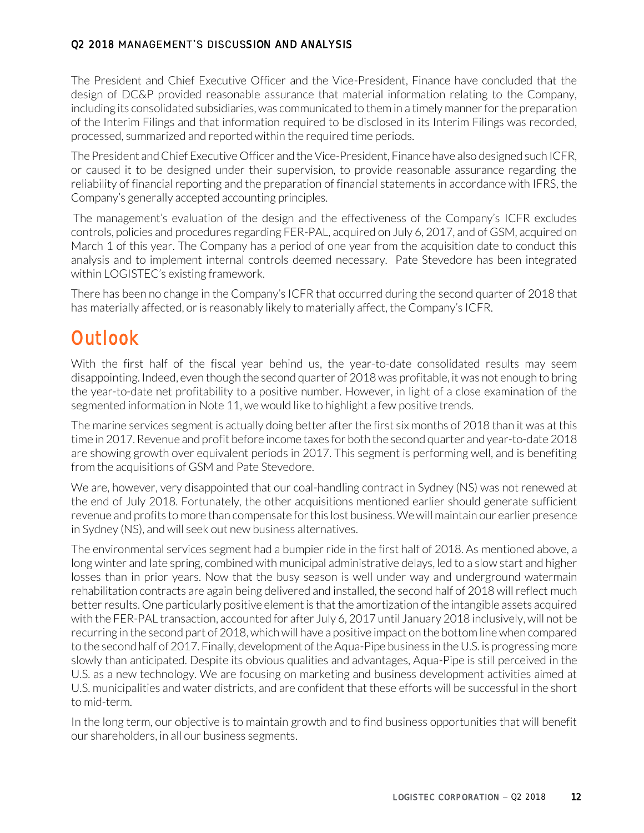The President and Chief Executive Officer and the Vice-President, Finance have concluded that the design of DC&P provided reasonable assurance that material information relating to the Company, including its consolidated subsidiaries, was communicated to them in a timely manner for the preparation of the Interim Filings and that information required to be disclosed in its Interim Filings was recorded, processed, summarized and reported within the required time periods.

The President and Chief Executive Officer and the Vice-President, Finance have also designed such ICFR, or caused it to be designed under their supervision, to provide reasonable assurance regarding the reliability of financial reporting and the preparation of financial statements in accordance with IFRS, the Company's generally accepted accounting principles.

The management's evaluation of the design and the effectiveness of the Company's ICFR excludes controls, policies and procedures regarding FER-PAL, acquired on July 6, 2017, and of GSM, acquired on March 1 of this year. The Company has a period of one year from the acquisition date to conduct this analysis and to implement internal controls deemed necessary. Pate Stevedore has been integrated within LOGISTEC's existing framework.

There has been no change in the Company's ICFR that occurred during the second quarter of 2018 that has materially affected, or is reasonably likely to materially affect, the Company's ICFR.

# **Outlook**

With the first half of the fiscal year behind us, the year-to-date consolidated results may seem disappointing. Indeed, even though the second quarter of 2018 was profitable, it was not enough to bring the year-to-date net profitability to a positive number. However, in light of a close examination of the segmented information in Note 11, we would like to highlight a few positive trends.

The marine services segment is actually doing better after the first six months of 2018 than it was at this time in 2017. Revenue and profit before income taxes for both the second quarter and year-to-date 2018 are showing growth over equivalent periods in 2017. This segment is performing well, and is benefiting from the acquisitions of GSM and Pate Stevedore.

We are, however, very disappointed that our coal-handling contract in Sydney (NS) was not renewed at the end of July 2018. Fortunately, the other acquisitions mentioned earlier should generate sufficient revenue and profits to more than compensate for this lost business.We will maintain our earlier presence in Sydney (NS), and will seek out new business alternatives.

The environmental services segment had a bumpier ride in the first half of 2018. As mentioned above, a long winter and late spring, combined with municipal administrative delays, led to a slow start and higher losses than in prior years. Now that the busy season is well under way and underground watermain rehabilitation contracts are again being delivered and installed, the second half of 2018 will reflect much better results. One particularly positive element is that the amortization of the intangible assets acquired with the FER-PAL transaction, accounted for after July 6, 2017 until January 2018 inclusively, will not be recurring in the second part of 2018, which will have a positive impact on the bottom line when compared to the second half of 2017. Finally, development of the Aqua-Pipe business in the U.S. is progressing more slowly than anticipated. Despite its obvious qualities and advantages, Aqua-Pipe is still perceived in the U.S. as a new technology. We are focusing on marketing and business development activities aimed at U.S. municipalities and water districts, and are confident that these efforts will be successful in the short to mid-term.

In the long term, our objective is to maintain growth and to find business opportunities that will benefit our shareholders, in all our business segments.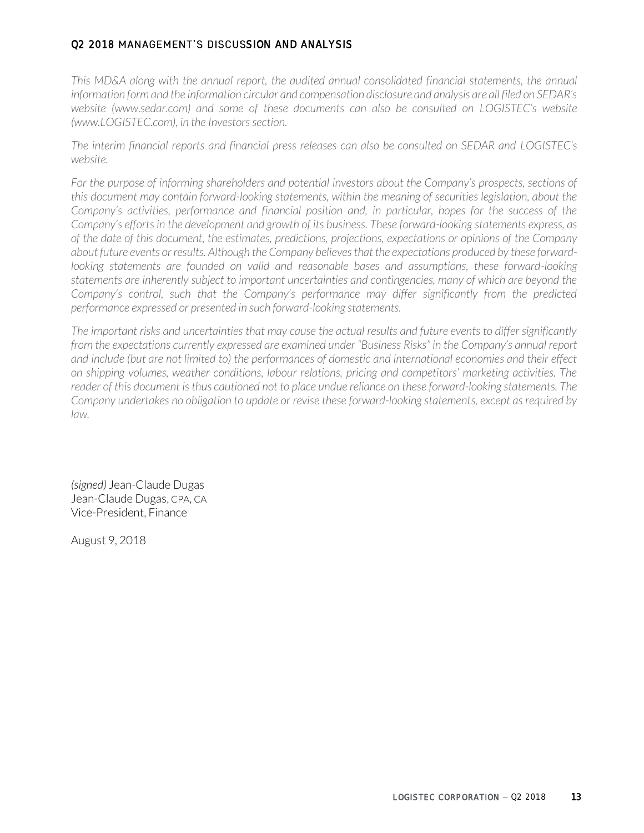*This MD&A along with the annual report, the audited annual consolidated financial statements, the annual information form and the information circular and compensation disclosure and analysis are all filed on SEDAR's website (www.sedar.com) and some of these documents can also be consulted on LOGISTEC's website (www.LOGISTEC.com), in the Investors section.*

*The interim financial reports and financial press releases can also be consulted on SEDAR and LOGISTEC's website.*

For the purpose of informing shareholders and potential investors about the Company's prospects, sections of *this document may contain forward-looking statements, within the meaning of securities legislation, about the Company's activities, performance and financial position and, in particular, hopes for the success of the Company's efforts in the development and growth of its business. These forward-looking statements express, as of the date of this document, the estimates, predictions, projections, expectations or opinions of the Company about future events or results. Although the Company believes that the expectations produced by these forward*looking statements are founded on valid and reasonable bases and assumptions, these forward-looking statements are inherently subject to important uncertainties and contingencies, many of which are beyond the *Company's control, such that the Company's performance may differ significantly from the predicted performance expressed or presented in such forward-looking statements.* 

*The important risks and uncertainties that may cause the actual results and future events to differ significantly from the expectations currently expressed are examined under "Business Risks" in the Company's annual report and include (but are not limited to) the performances of domestic and international economies and their effect on shipping volumes, weather conditions, labour relations, pricing and competitors' marketing activities. The*  reader of this document is thus cautioned not to place undue reliance on these forward-looking statements. The *Company undertakes no obligation to update or revise these forward-looking statements, except as required by law.*

*(signed)* Jean-Claude Dugas Jean-Claude Dugas, CPA, CA Vice-President, Finance

August 9, 2018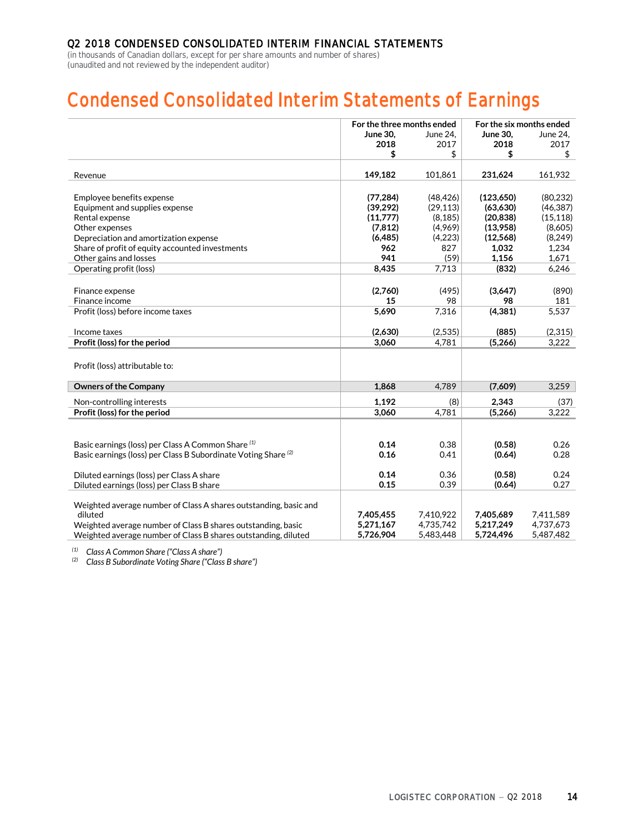(in thousands of Canadian dollars, except for per share amounts and number of shares) (unaudited and not reviewed by the independent auditor)

# **Condensed Consolidated Interim Statements of Earnings**

|                                                                           | For the three months ended |           | For the six months ended |           |
|---------------------------------------------------------------------------|----------------------------|-----------|--------------------------|-----------|
|                                                                           | <b>June 30.</b>            | June 24.  | <b>June 30.</b>          | June 24.  |
|                                                                           | 2018                       | 2017      | 2018                     | 2017      |
|                                                                           | \$                         | \$        | \$                       | \$        |
| Revenue                                                                   | 149,182                    | 101,861   | 231,624                  | 161,932   |
|                                                                           |                            |           |                          |           |
| Employee benefits expense                                                 | (77, 284)                  | (48, 426) | (123, 650)               | (80, 232) |
| Equipment and supplies expense                                            | (39, 292)                  | (29, 113) | (63, 630)                | (46, 387) |
| Rental expense                                                            | (11,777)                   | (8, 185)  | (20, 838)                | (15, 118) |
| Other expenses                                                            | (7, 812)                   | (4,969)   | (13,958)                 | (8,605)   |
| Depreciation and amortization expense                                     | (6,485)                    | (4,223)   | (12, 568)                | (8,249)   |
| Share of profit of equity accounted investments                           | 962                        | 827       | 1,032                    | 1,234     |
| Other gains and losses                                                    | 941                        | (59)      | 1,156                    | 1,671     |
| Operating profit (loss)                                                   | 8,435                      | 7,713     | (832)                    | 6,246     |
|                                                                           |                            |           |                          |           |
| Finance expense                                                           | (2,760)                    | (495)     | (3,647)                  | (890)     |
| Finance income                                                            | 15                         | 98        | 98                       | 181       |
| Profit (loss) before income taxes                                         | 5.690                      | 7,316     | (4, 381)                 | 5,537     |
| Income taxes                                                              | (2,630)                    | (2,535)   | (885)                    | (2,315)   |
| Profit (loss) for the period                                              | 3.060                      | 4.781     | (5,266)                  | 3,222     |
|                                                                           |                            |           |                          |           |
| Profit (loss) attributable to:                                            |                            |           |                          |           |
| <b>Owners of the Company</b>                                              | 1,868                      | 4,789     | (7,609)                  | 3,259     |
| Non-controlling interests                                                 | 1.192                      | (8)       | 2.343                    | (37)      |
| Profit (loss) for the period                                              | 3.060                      | 4,781     | (5,266)                  | 3,222     |
|                                                                           |                            |           |                          |           |
|                                                                           |                            |           |                          |           |
| Basic earnings (loss) per Class A Common Share (1)                        | 0.14                       | 0.38      | (0.58)                   | 0.26      |
| Basic earnings (loss) per Class B Subordinate Voting Share <sup>(2)</sup> | 0.16                       | 0.41      | (0.64)                   | 0.28      |
| Diluted earnings (loss) per Class A share                                 | 0.14                       | 0.36      | (0.58)                   | 0.24      |
| Diluted earnings (loss) per Class B share                                 | 0.15                       | 0.39      | (0.64)                   | 0.27      |
|                                                                           |                            |           |                          |           |
| Weighted average number of Class A shares outstanding, basic and          |                            |           |                          |           |
| diluted                                                                   | 7,405,455                  | 7,410,922 | 7,405,689                | 7,411,589 |
| Weighted average number of Class B shares outstanding, basic              | 5,271,167                  | 4,735,742 | 5,217,249                | 4,737,673 |
| Weighted average number of Class B shares outstanding, diluted            | 5,726,904                  | 5,483,448 | 5,724,496                | 5,487,482 |

*(1) Class A Common Share ("Class A share")*

*(2) Class B Subordinate Voting Share ("Class B share")*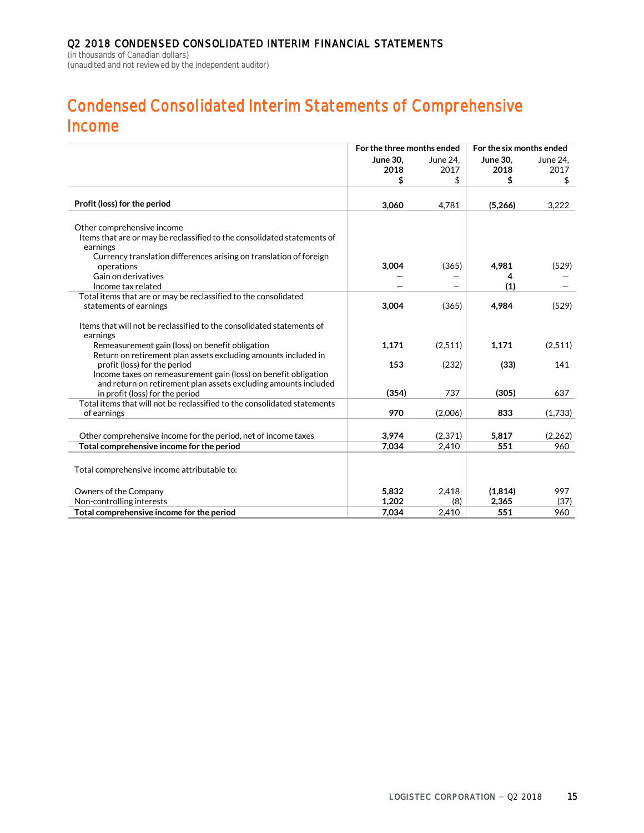(in thousands of Canadian dollars) (unaudited and not reviewed by the independent auditor)

# **Condensed Consolidated Interim Statements of Comprehensive Income**

|                                                                                                       | For the three months ended |          | For the six months ended |          |  |
|-------------------------------------------------------------------------------------------------------|----------------------------|----------|--------------------------|----------|--|
|                                                                                                       | <b>June 30,</b>            | June 24. | <b>June 30.</b>          | June 24, |  |
|                                                                                                       | 2018                       | 2017     | 2018                     | 2017     |  |
|                                                                                                       | \$                         | \$       | \$                       | \$       |  |
|                                                                                                       |                            |          |                          |          |  |
| Profit (loss) for the period                                                                          | 3,060                      | 4,781    | (5,266)                  | 3,222    |  |
|                                                                                                       |                            |          |                          |          |  |
| Other comprehensive income<br>Items that are or may be reclassified to the consolidated statements of |                            |          |                          |          |  |
| earnings                                                                                              |                            |          |                          |          |  |
| Currency translation differences arising on translation of foreign                                    |                            |          |                          |          |  |
| operations                                                                                            | 3,004                      | (365)    | 4,981                    | (529)    |  |
| Gain on derivatives                                                                                   |                            |          | 4                        |          |  |
| Income tax related                                                                                    |                            |          | (1)                      |          |  |
| Total items that are or may be reclassified to the consolidated                                       |                            |          |                          |          |  |
| statements of earnings                                                                                | 3,004                      | (365)    | 4,984                    | (529)    |  |
| Items that will not be reclassified to the consolidated statements of                                 |                            |          |                          |          |  |
| earnings                                                                                              |                            |          |                          |          |  |
| Remeasurement gain (loss) on benefit obligation                                                       | 1,171                      | (2,511)  | 1,171                    | (2,511)  |  |
| Return on retirement plan assets excluding amounts included in                                        |                            |          |                          |          |  |
| profit (loss) for the period                                                                          | 153                        | (232)    | (33)                     | 141      |  |
| Income taxes on remeasurement gain (loss) on benefit obligation                                       |                            |          |                          |          |  |
| and return on retirement plan assets excluding amounts included                                       |                            |          |                          |          |  |
| in profit (loss) for the period                                                                       | (354)                      | 737      | (305)                    | 637      |  |
| Total items that will not be reclassified to the consolidated statements                              |                            |          |                          |          |  |
| of earnings                                                                                           | 970                        | (2,006)  | 833                      | (1,733)  |  |
| Other comprehensive income for the period, net of income taxes                                        | 3,974                      | (2, 371) | 5,817                    | (2, 262) |  |
| Total comprehensive income for the period                                                             | 7.034                      | 2.410    | 551                      | 960      |  |
|                                                                                                       |                            |          |                          |          |  |
| Total comprehensive income attributable to:                                                           |                            |          |                          |          |  |
|                                                                                                       |                            |          |                          |          |  |
| Owners of the Company                                                                                 | 5.832                      | 2.418    | (1,814)                  | 997      |  |
| Non-controlling interests                                                                             | 1,202                      | (8)      | 2,365                    | (37)     |  |
| Total comprehensive income for the period                                                             | 7.034                      | 2,410    | 551                      | 960      |  |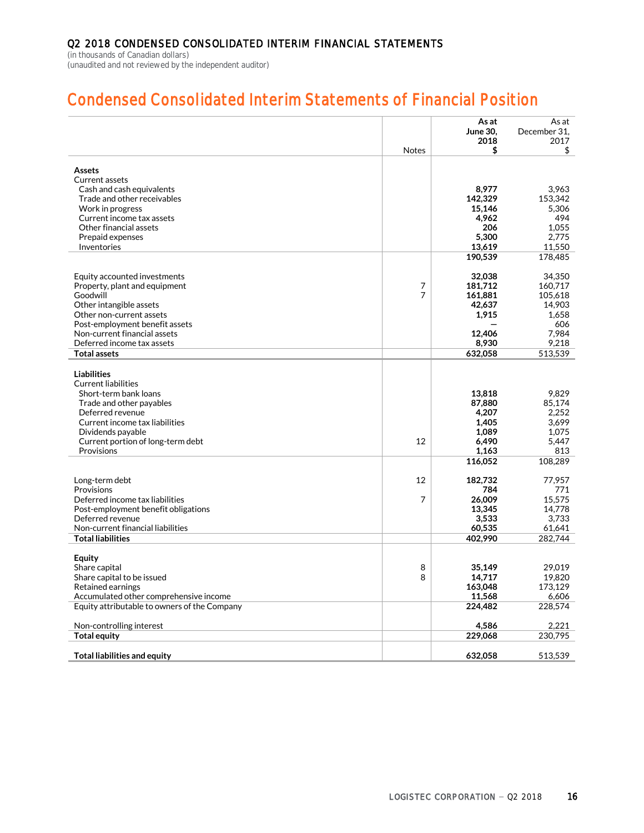(in thousands of Canadian dollars) (unaudited and not reviewed by the independent auditor)

# **Condensed Consolidated Interim Statements of Financial Position**

|                                                                | Notes          | As at<br><b>June 30.</b><br>2018<br>\$ | As at<br>December 31,<br>2017<br>\$ |
|----------------------------------------------------------------|----------------|----------------------------------------|-------------------------------------|
|                                                                |                |                                        |                                     |
| <b>Assets</b>                                                  |                |                                        |                                     |
| Current assets                                                 |                |                                        |                                     |
| Cash and cash equivalents                                      |                | 8,977                                  | 3,963                               |
| Trade and other receivables                                    |                | 142.329                                | 153.342                             |
| Work in progress<br>Current income tax assets                  |                | 15,146<br>4,962                        | 5,306<br>494                        |
| Other financial assets                                         |                | 206                                    | 1,055                               |
| Prepaid expenses                                               |                | 5,300                                  | 2.775                               |
| Inventories                                                    |                | 13,619                                 | 11,550                              |
|                                                                |                | 190,539                                | 178,485                             |
| Equity accounted investments                                   |                | 32,038                                 | 34.350                              |
| Property, plant and equipment                                  | $\overline{7}$ | 181,712                                | 160,717                             |
| Goodwill                                                       | 7              | 161,881                                | 105,618                             |
| Other intangible assets                                        |                | 42,637                                 | 14.903                              |
| Other non-current assets                                       |                | 1,915                                  | 1.658                               |
| Post-employment benefit assets<br>Non-current financial assets |                |                                        | 606                                 |
| Deferred income tax assets                                     |                | 12,406<br>8,930                        | 7,984<br>9.218                      |
| <b>Total assets</b>                                            |                | 632,058                                | 513,539                             |
|                                                                |                |                                        |                                     |
| <b>Liabilities</b>                                             |                |                                        |                                     |
| <b>Current liabilities</b>                                     |                |                                        |                                     |
| Short-term bank loans                                          |                | 13,818                                 | 9,829                               |
| Trade and other payables<br>Deferred revenue                   |                | 87,880<br>4,207                        | 85.174<br>2.252                     |
| Current income tax liabilities                                 |                | 1.405                                  | 3.699                               |
| Dividends payable                                              |                | 1.089                                  | 1.075                               |
| Current portion of long-term debt                              | 12             | 6,490                                  | 5,447                               |
| Provisions                                                     |                | 1,163                                  | 813                                 |
|                                                                |                | 116,052                                | 108,289                             |
| Long-term debt                                                 | 12             | 182,732                                | 77,957                              |
| Provisions                                                     |                | 784                                    | 771                                 |
| Deferred income tax liabilities                                | 7              | 26,009                                 | 15.575                              |
| Post-employment benefit obligations                            |                | 13,345                                 | 14.778                              |
| Deferred revenue                                               |                | 3,533                                  | 3,733                               |
| Non-current financial liabilities<br><b>Total liabilities</b>  |                | 60,535<br>402,990                      | 61,641<br>282,744                   |
|                                                                |                |                                        |                                     |
| Equity                                                         |                |                                        |                                     |
| Share capital                                                  | 8              | 35,149                                 | 29.019                              |
| Share capital to be issued                                     | 8              | 14,717                                 | 19,820                              |
| Retained earnings<br>Accumulated other comprehensive income    |                | 163,048<br>11,568                      | 173,129<br>6.606                    |
| Equity attributable to owners of the Company                   |                | 224,482                                | 228,574                             |
|                                                                |                |                                        |                                     |
| Non-controlling interest                                       |                | 4,586                                  | 2,221                               |
| <b>Total equity</b>                                            |                | 229,068                                | 230,795                             |
| <b>Total liabilities and equity</b>                            |                | 632.058                                | 513,539                             |
|                                                                |                |                                        |                                     |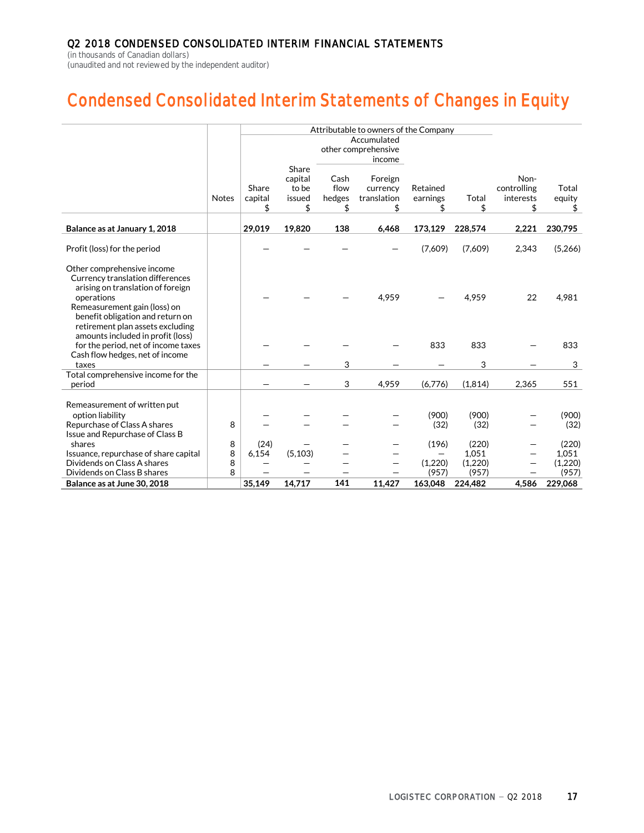(in thousands of Canadian dollars) (unaudited and not reviewed by the independent auditor)

# **Condensed Consolidated Interim Statements of Changes in Equity**

|                                                                      |              |         | Attributable to owners of the Company |        |             |          |         |             |         |
|----------------------------------------------------------------------|--------------|---------|---------------------------------------|--------|-------------|----------|---------|-------------|---------|
|                                                                      |              |         | Accumulated<br>other comprehensive    |        |             |          |         |             |         |
|                                                                      |              |         |                                       |        | income      |          |         |             |         |
|                                                                      |              |         | Share                                 |        |             |          |         |             |         |
|                                                                      |              |         | capital                               | Cash   | Foreign     |          |         | Non-        |         |
|                                                                      |              | Share   | to be                                 | flow   | currency    | Retained |         | controlling | Total   |
|                                                                      | <b>Notes</b> | capital | issued                                | hedges | translation | earnings | Total   | interests   | equity  |
|                                                                      |              | \$      | \$                                    | \$     | \$          | \$       | \$      | \$          | \$      |
| Balance as at January 1, 2018                                        |              | 29,019  | 19,820                                | 138    | 6,468       | 173,129  | 228,574 | 2,221       | 230,795 |
|                                                                      |              |         |                                       |        |             |          |         |             | (5,266) |
| Profit (loss) for the period                                         |              |         |                                       |        |             | (7,609)  | (7,609) | 2,343       |         |
| Other comprehensive income                                           |              |         |                                       |        |             |          |         |             |         |
| Currency translation differences                                     |              |         |                                       |        |             |          |         |             |         |
| arising on translation of foreign                                    |              |         |                                       |        |             |          |         |             |         |
| operations                                                           |              |         |                                       |        | 4,959       |          | 4,959   | 22          | 4,981   |
| Remeasurement gain (loss) on                                         |              |         |                                       |        |             |          |         |             |         |
| benefit obligation and return on<br>retirement plan assets excluding |              |         |                                       |        |             |          |         |             |         |
| amounts included in profit (loss)                                    |              |         |                                       |        |             |          |         |             |         |
| for the period, net of income taxes                                  |              |         |                                       |        |             | 833      | 833     |             | 833     |
| Cash flow hedges, net of income                                      |              |         |                                       |        |             |          |         |             |         |
| taxes                                                                |              |         |                                       | 3      |             |          | 3       |             | 3       |
| Total comprehensive income for the                                   |              |         |                                       |        |             |          |         |             |         |
| period                                                               |              |         |                                       | 3      | 4,959       | (6,776)  | (1,814) | 2,365       | 551     |
| Remeasurement of written put                                         |              |         |                                       |        |             |          |         |             |         |
| option liability                                                     |              |         |                                       |        |             | (900)    | (900)   |             | (900)   |
| Repurchase of Class A shares                                         | 8            |         |                                       |        |             | (32)     | (32)    |             | (32)    |
| Issue and Repurchase of Class B                                      |              |         |                                       |        |             |          |         |             |         |
| shares                                                               | 8            | (24)    |                                       |        |             | (196)    | (220)   |             | (220)   |
| Issuance, repurchase of share capital                                | 8            | 6,154   | (5, 103)                              |        |             |          | 1,051   |             | 1,051   |
| Dividends on Class A shares                                          | 8            |         |                                       |        |             | (1,220)  | (1,220) |             | (1,220) |
| Dividends on Class B shares                                          | 8            |         |                                       |        |             | (957)    | (957)   |             | (957)   |
| Balance as at June 30, 2018                                          |              | 35,149  | 14,717                                | 141    | 11,427      | 163,048  | 224.482 | 4,586       | 229,068 |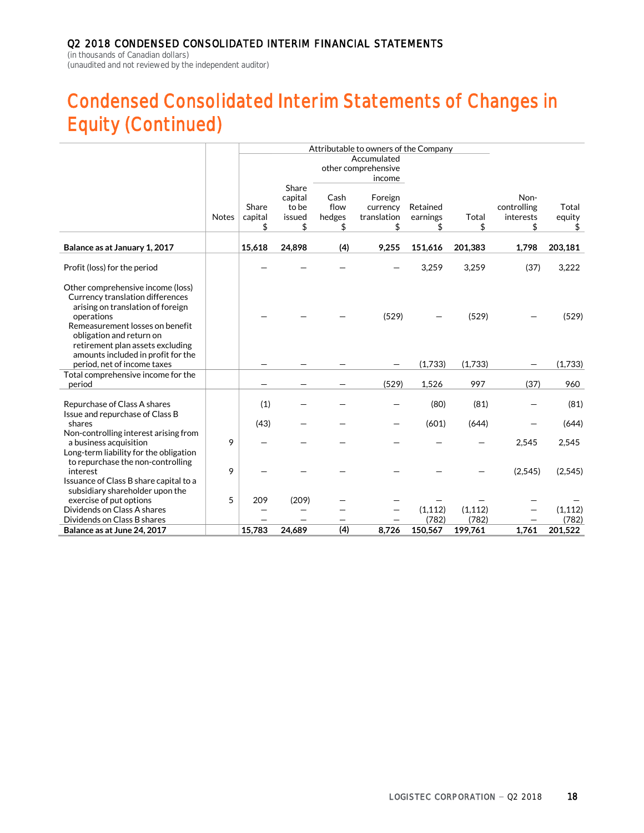(in thousands of Canadian dollars) (unaudited and not reviewed by the independent auditor)

# **Condensed Consolidated Interim Statements of Changes in Equity (Continued)**

|                                                                                                                                       |              | Attributable to owners of the Company |                  |        |                     |          |          |             |          |
|---------------------------------------------------------------------------------------------------------------------------------------|--------------|---------------------------------------|------------------|--------|---------------------|----------|----------|-------------|----------|
|                                                                                                                                       |              |                                       |                  |        | Accumulated         |          |          |             |          |
|                                                                                                                                       |              |                                       |                  |        | other comprehensive |          |          |             |          |
|                                                                                                                                       |              |                                       |                  |        | income              |          |          |             |          |
|                                                                                                                                       |              |                                       | Share<br>capital | Cash   | Foreign             |          |          | Non-        |          |
|                                                                                                                                       |              | Share                                 | to be            | flow   | currency            | Retained |          | controlling | Total    |
|                                                                                                                                       | <b>Notes</b> | capital                               | issued           | hedges | translation         | earnings | Total    | interests   | equity   |
|                                                                                                                                       |              | \$                                    | \$               | \$     | \$                  | \$       | \$       | \$          | \$       |
| Balance as at January 1, 2017                                                                                                         |              | 15,618                                | 24,898           | (4)    | 9,255               | 151,616  | 201,383  | 1,798       | 203,181  |
|                                                                                                                                       |              |                                       |                  |        |                     |          |          |             |          |
| Profit (loss) for the period                                                                                                          |              |                                       |                  |        |                     | 3,259    | 3,259    | (37)        | 3,222    |
| Other comprehensive income (loss)<br>Currency translation differences<br>arising on translation of foreign<br>operations              |              |                                       |                  |        | (529)               |          | (529)    |             | (529)    |
| Remeasurement losses on benefit<br>obligation and return on<br>retirement plan assets excluding<br>amounts included in profit for the |              |                                       |                  |        |                     |          |          |             |          |
| period, net of income taxes                                                                                                           |              |                                       |                  |        |                     | (1,733)  | (1,733)  |             | (1,733)  |
| Total comprehensive income for the<br>period                                                                                          |              |                                       |                  |        | (529)               | 1,526    | 997      | (37)        | 960      |
|                                                                                                                                       |              |                                       |                  |        |                     |          |          |             |          |
| Repurchase of Class A shares<br>Issue and repurchase of Class B                                                                       |              | (1)                                   |                  |        |                     | (80)     | (81)     |             | (81)     |
| shares                                                                                                                                |              | (43)                                  |                  |        |                     | (601)    | (644)    |             | (644)    |
| Non-controlling interest arising from<br>a business acquisition                                                                       | 9            |                                       |                  |        |                     |          |          | 2,545       | 2,545    |
| Long-term liability for the obligation<br>to repurchase the non-controlling<br>interest                                               | 9            |                                       |                  |        |                     |          |          | (2, 545)    | (2, 545) |
| Issuance of Class B share capital to a<br>subsidiary shareholder upon the                                                             |              |                                       |                  |        |                     |          |          |             |          |
| exercise of put options                                                                                                               | 5            | 209                                   | (209)            |        |                     |          |          |             |          |
| Dividends on Class A shares                                                                                                           |              |                                       |                  |        |                     | (1, 112) | (1, 112) |             | (1, 112) |
| Dividends on Class B shares                                                                                                           |              |                                       |                  |        |                     | (782)    | (782)    |             | (782)    |
| Balance as at June 24, 2017                                                                                                           |              | 15.783                                | 24.689           | (4)    | 8.726               | 150,567  | 199,761  | 1.761       | 201,522  |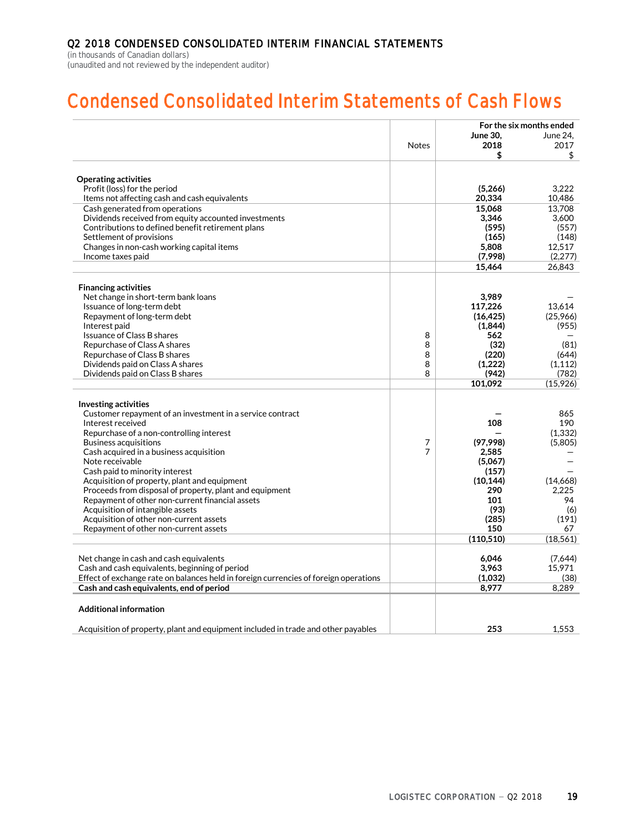(in thousands of Canadian dollars) (unaudited and not reviewed by the independent auditor)

# **Condensed Consolidated Interim Statements of Cash Flows**

|                                                                                      |              |                  | For the six months ended |
|--------------------------------------------------------------------------------------|--------------|------------------|--------------------------|
|                                                                                      |              | <b>June 30.</b>  | June 24.                 |
|                                                                                      | <b>Notes</b> | 2018             | 2017                     |
|                                                                                      |              | \$               | \$                       |
|                                                                                      |              |                  |                          |
| <b>Operating activities</b>                                                          |              |                  |                          |
| Profit (loss) for the period                                                         |              | (5,266)          | 3.222                    |
| Items not affecting cash and cash equivalents                                        |              | 20,334           | 10,486                   |
| Cash generated from operations                                                       |              | 15.068           | 13.708                   |
| Dividends received from equity accounted investments                                 |              | 3.346            | 3,600                    |
| Contributions to defined benefit retirement plans                                    |              | (595)            | (557)                    |
| Settlement of provisions                                                             |              | (165)            | (148)                    |
| Changes in non-cash working capital items<br>Income taxes paid                       |              | 5,808<br>(7,998) | 12,517<br>(2,277)        |
|                                                                                      |              | 15,464           | 26,843                   |
|                                                                                      |              |                  |                          |
| <b>Financing activities</b>                                                          |              |                  |                          |
| Net change in short-term bank loans                                                  |              | 3,989            |                          |
| Issuance of long-term debt                                                           |              | 117,226          | 13,614                   |
| Repayment of long-term debt                                                          |              | (16, 425)        | (25,966)                 |
| Interest paid                                                                        |              | (1,844)          | (955)                    |
| Issuance of Class B shares                                                           | 8            | 562              |                          |
| Repurchase of Class A shares                                                         | 8            | (32)             | (81)                     |
| Repurchase of Class B shares                                                         | 8            | (220)            | (644)                    |
| Dividends paid on Class A shares                                                     | 8            | (1,222)          | (1, 112)                 |
| Dividends paid on Class B shares                                                     | 8            | (942)            | (782)                    |
|                                                                                      |              | 101,092          | (15,926)                 |
|                                                                                      |              |                  |                          |
| Investing activities                                                                 |              |                  |                          |
| Customer repayment of an investment in a service contract<br>Interest received       |              | 108              | 865<br>190               |
| Repurchase of a non-controlling interest                                             |              |                  | (1, 332)                 |
| Business acquisitions                                                                | 7            | (97,998)         | (5,805)                  |
| Cash acquired in a business acquisition                                              | 7            | 2,585            |                          |
| Note receivable                                                                      |              | (5,067)          |                          |
| Cash paid to minority interest                                                       |              | (157)            |                          |
| Acquisition of property, plant and equipment                                         |              | (10, 144)        | (14.668)                 |
| Proceeds from disposal of property, plant and equipment                              |              | 290              | 2.225                    |
| Repayment of other non-current financial assets                                      |              | 101              | 94                       |
| Acquisition of intangible assets                                                     |              | (93)             | (6)                      |
| Acquisition of other non-current assets                                              |              | (285)            | (191)                    |
| Repayment of other non-current assets                                                |              | 150              | 67                       |
|                                                                                      |              | (110, 510)       | (18, 561)                |
|                                                                                      |              |                  |                          |
| Net change in cash and cash equivalents                                              |              | 6,046            | (7,644)                  |
| Cash and cash equivalents, beginning of period                                       |              | 3.963            | 15.971                   |
| Effect of exchange rate on balances held in foreign currencies of foreign operations |              | (1,032)          | (38)                     |
| Cash and cash equivalents, end of period                                             |              | 8,977            | 8,289                    |
| <b>Additional information</b>                                                        |              |                  |                          |
| Acquisition of property, plant and equipment included in trade and other payables    |              | 253              | 1,553                    |
|                                                                                      |              |                  |                          |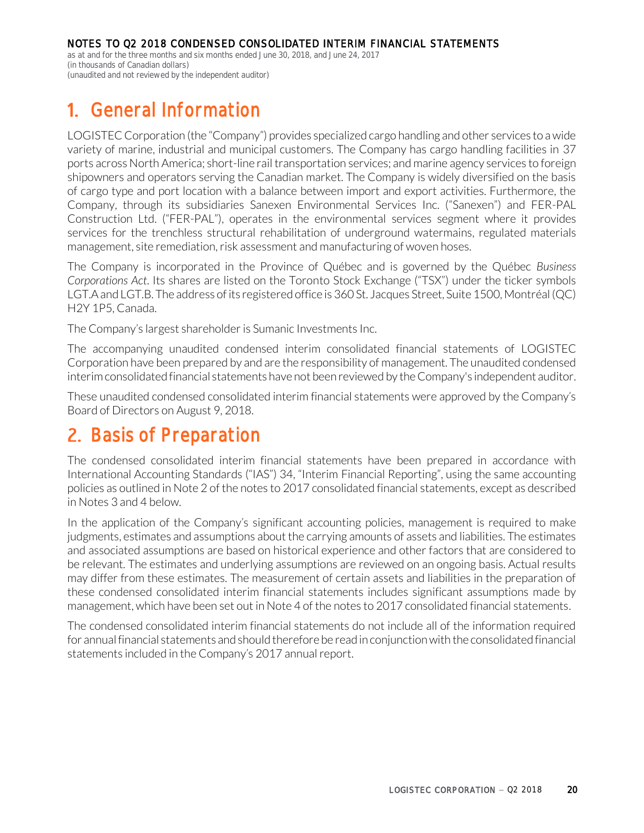as at and for the three months and six months ended June 30, 2018, and June 24, 2017 (in thousands of Canadian dollars) (unaudited and not reviewed by the independent auditor)

# **General Information**

LOGISTEC Corporation (the "Company") provides specialized cargo handling and other services to a wide variety of marine, industrial and municipal customers. The Company has cargo handling facilities in 37 ports across North America; short-line rail transportation services; and marine agency services to foreign shipowners and operators serving the Canadian market. The Company is widely diversified on the basis of cargo type and port location with a balance between import and export activities. Furthermore, the Company, through its subsidiaries Sanexen Environmental Services Inc. ("Sanexen") and FER-PAL Construction Ltd. ("FER-PAL"), operates in the environmental services segment where it provides services for the trenchless structural rehabilitation of underground watermains, regulated materials management, site remediation, risk assessment and manufacturing of woven hoses.

The Company is incorporated in the Province of Québec and is governed by the Québec *Business Corporations Act*. Its shares are listed on the Toronto Stock Exchange ("TSX") under the ticker symbols LGT.A and LGT.B. The address of its registered office is 360 St. Jacques Street, Suite 1500, Montréal (QC) H2Y 1P5, Canada.

The Company's largest shareholder is Sumanic Investments Inc.

The accompanying unaudited condensed interim consolidated financial statements of LOGISTEC Corporation have been prepared by and are the responsibility of management. The unaudited condensed interim consolidated financial statements have not been reviewed by the Company's independent auditor.

These unaudited condensed consolidated interim financial statements were approved by the Company's Board of Directors on August 9, 2018.

# **2. Basis of Preparation**

The condensed consolidated interim financial statements have been prepared in accordance with International Accounting Standards ("IAS") 34, "Interim Financial Reporting", using the same accounting policies as outlined in Note 2 of the notes to 2017 consolidated financial statements, except as described in Notes 3 and 4 below.

In the application of the Company's significant accounting policies, management is required to make judgments, estimates and assumptions about the carrying amounts of assets and liabilities. The estimates and associated assumptions are based on historical experience and other factors that are considered to be relevant. The estimates and underlying assumptions are reviewed on an ongoing basis. Actual results may differ from these estimates. The measurement of certain assets and liabilities in the preparation of these condensed consolidated interim financial statements includes significant assumptions made by management, which have been set out in Note 4 of the notes to 2017 consolidated financial statements.

The condensed consolidated interim financial statements do not include all of the information required for annual financial statements and should therefore be read in conjunction with the consolidated financial statements included in the Company's 2017 annual report.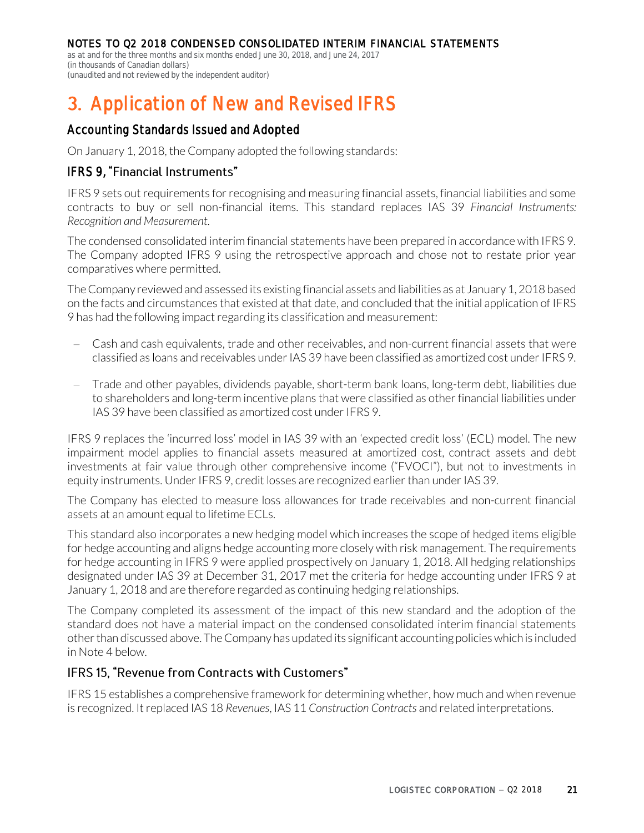as at and for the three months and six months ended June 30, 2018, and June 24, 2017 (in thousands of Canadian dollars) (unaudited and not reviewed by the independent auditor)

# **Application of New and Revised IFRS**

# Accounting Standards Issued and Adopted

On January 1, 2018, the Company adopted the following standards:

### IFRS 9, "Financial Instruments"

IFRS 9 sets out requirements for recognising and measuring financial assets, financial liabilities and some contracts to buy or sell non-financial items. This standard replaces IAS 39 *Financial Instruments: Recognition and Measurement*.

The condensed consolidated interim financial statements have been prepared in accordance with IFRS 9. The Company adopted IFRS 9 using the retrospective approach and chose not to restate prior year comparatives where permitted.

The Company reviewed and assessed its existing financial assets and liabilities as at January 1, 2018 based on the facts and circumstances that existed at that date, and concluded that the initial application of IFRS 9 has had the following impact regarding its classification and measurement:

- Cash and cash equivalents, trade and other receivables, and non-current financial assets that were classified as loans and receivables under IAS 39 have been classified as amortized cost under IFRS 9.
- Trade and other payables, dividends payable, short-term bank loans, long-term debt, liabilities due to shareholders and long-term incentive plans that were classified as other financial liabilities under IAS 39 have been classified as amortized cost under IFRS 9.

IFRS 9 replaces the 'incurred loss' model in IAS 39 with an 'expected credit loss' (ECL) model. The new impairment model applies to financial assets measured at amortized cost, contract assets and debt investments at fair value through other comprehensive income ("FVOCI"), but not to investments in equity instruments. Under IFRS 9, credit losses are recognized earlier than under IAS 39.

The Company has elected to measure loss allowances for trade receivables and non-current financial assets at an amount equal to lifetime ECLs.

This standard also incorporates a new hedging model which increases the scope of hedged items eligible for hedge accounting and aligns hedge accounting more closely with risk management. The requirements for hedge accounting in IFRS 9 were applied prospectively on January 1, 2018. All hedging relationships designated under IAS 39 at December 31, 2017 met the criteria for hedge accounting under IFRS 9 at January 1, 2018 and are therefore regarded as continuing hedging relationships.

The Company completed its assessment of the impact of this new standard and the adoption of the standard does not have a material impact on the condensed consolidated interim financial statements other than discussed above. The Company has updated its significant accounting policies which is included in Note 4 below.

### IFRS 15. "Revenue from Contracts with Customers"

IFRS 15 establishes a comprehensive framework for determining whether, how much and when revenue is recognized. It replaced IAS 18 *Revenues*, IAS 11 *Construction Contracts* and related interpretations.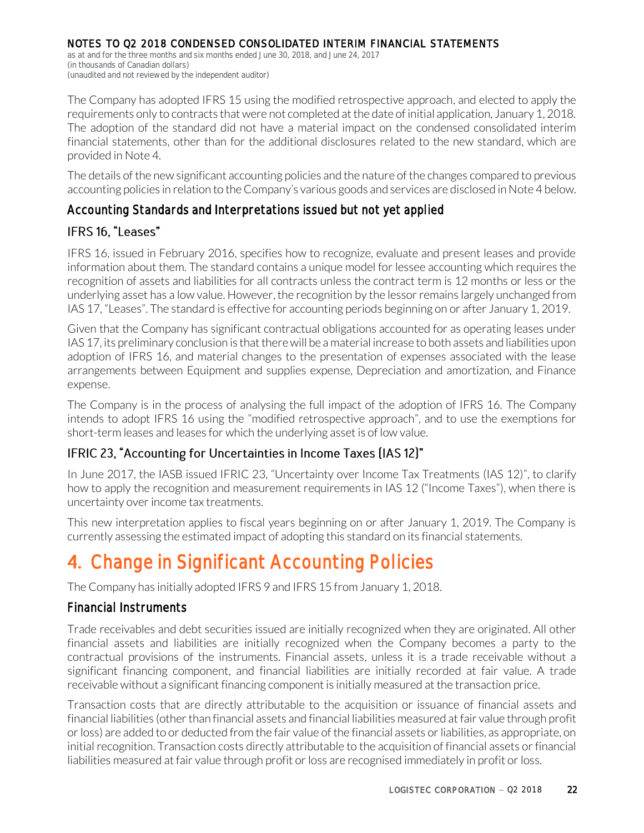as at and for the three months and six months ended June 30, 2018, and June 24, 2017 (in thousands of Canadian dollars) (unaudited and not reviewed by the independent auditor)

The Company has adopted IFRS 15 using the modified retrospective approach, and elected to apply the requirements only to contracts that were not completed at the date of initial application, January 1, 2018. The adoption of the standard did not have a material impact on the condensed consolidated interim financial statements, other than for the additional disclosures related to the new standard, which are provided in Note 4.

The details of the new significant accounting policies and the nature of the changes compared to previous accounting policies in relation to the Company's various goods and services are disclosed in Note 4 below.

### Accounting Standards and Interpretations issued but not yet applied

### IFRS 16, "Leases"

IFRS 16, issued in February 2016, specifies how to recognize, evaluate and present leases and provide information about them. The standard contains a unique model for lessee accounting which requires the recognition of assets and liabilities for all contracts unless the contract term is 12 months or less or the underlying asset has a low value. However, the recognition by the lessor remains largely unchanged from IAS 17, "Leases". The standard is effective for accounting periods beginning on or after January 1, 2019.

Given that the Company has significant contractual obligations accounted for as operating leases under IAS 17, its preliminary conclusion is that there will be a material increase to both assets and liabilities upon adoption of IFRS 16, and material changes to the presentation of expenses associated with the lease arrangements between Equipment and supplies expense, Depreciation and amortization, and Finance expense.

The Company is in the process of analysing the full impact of the adoption of IFRS 16. The Company intends to adopt IFRS 16 using the "modified retrospective approach", and to use the exemptions for short-term leases and leases for which the underlying asset is of low value.

## IFRIC 23, "Accounting for Uncertainties in Income Taxes (IAS12)"

In June 2017, the IASB issued IFRIC 23, "Uncertainty over Income Tax Treatments (IAS 12)", to clarify how to apply the recognition and measurement requirements in IAS 12 ("Income Taxes"), when there is uncertainty over income tax treatments.

This new interpretation applies to fiscal years beginning on or after January 1, 2019. The Company is currently assessing the estimated impact of adopting this standard on its financial statements.

# **Change in Significant Accounting Policies**

The Company has initially adopted IFRS 9 and IFRS 15 from January 1, 2018.

## Financial Instruments

Trade receivables and debt securities issued are initially recognized when they are originated. All other financial assets and liabilities are initially recognized when the Company becomes a party to the contractual provisions of the instruments. Financial assets, unless it is a trade receivable without a significant financing component, and financial liabilities are initially recorded at fair value. A trade receivable without a significant financing component is initially measured at the transaction price.

Transaction costs that are directly attributable to the acquisition or issuance of financial assets and financial liabilities (other than financial assets and financial liabilities measured at fair value through profit or loss) are added to or deducted from the fair value of the financial assets or liabilities, as appropriate, on initial recognition. Transaction costs directly attributable to the acquisition of financial assets or financial liabilities measured at fair value through profit or loss are recognised immediately in profit or loss.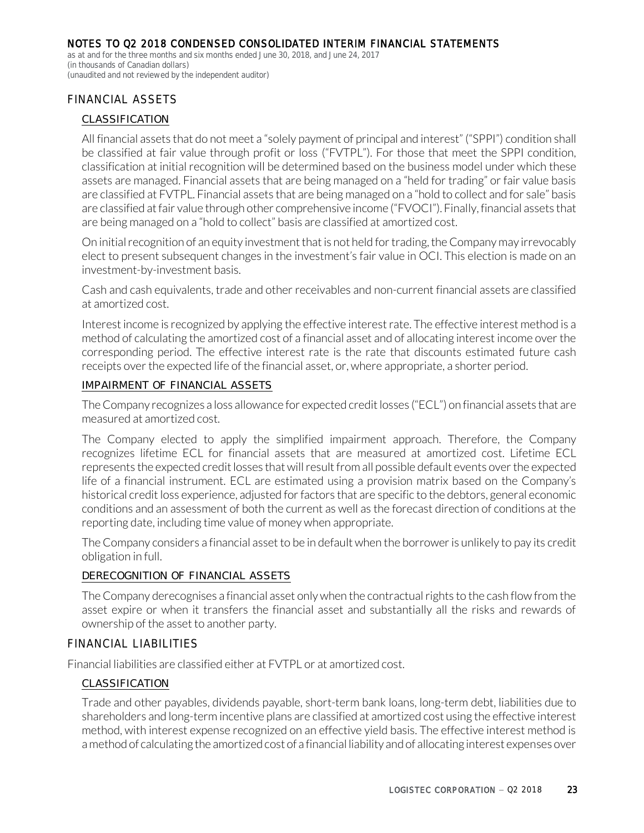as at and for the three months and six months ended June 30, 2018, and June 24, 2017 (in thousands of Canadian dollars) (unaudited and not reviewed by the independent auditor)

### FINANCIAL ASSETS

#### *CLASSIFICATION*

All financial assets that do not meet a "solely payment of principal and interest" ("SPPI") condition shall be classified at fair value through profit or loss ("FVTPL"). For those that meet the SPPI condition, classification at initial recognition will be determined based on the business model under which these assets are managed. Financial assets that are being managed on a "held for trading" or fair value basis are classified at FVTPL. Financial assets that are being managed on a "hold to collect and for sale" basis are classified at fair value through other comprehensive income ("FVOCI"). Finally, financial assets that are being managed on a "hold to collect" basis are classified at amortized cost.

On initial recognition of an equity investment that is not held for trading, the Company may irrevocably elect to present subsequent changes in the investment's fair value in OCI. This election is made on an investment-by-investment basis.

Cash and cash equivalents, trade and other receivables and non-current financial assets are classified at amortized cost.

Interest income is recognized by applying the effective interest rate. The effective interest method is a method of calculating the amortized cost of a financial asset and of allocating interest income over the corresponding period. The effective interest rate is the rate that discounts estimated future cash receipts over the expected life of the financial asset, or, where appropriate, a shorter period.

#### *IMPAIRMENT OF FINANCIAL ASSETS*

The Company recognizes a loss allowance for expected credit losses ("ECL") on financial assets that are measured at amortized cost.

The Company elected to apply the simplified impairment approach. Therefore, the Company recognizes lifetime ECL for financial assets that are measured at amortized cost. Lifetime ECL represents the expected credit losses that will result from all possible default events over the expected life of a financial instrument. ECL are estimated using a provision matrix based on the Company's historical credit loss experience, adjusted for factors that are specific to the debtors, general economic conditions and an assessment of both the current as well as the forecast direction of conditions at the reporting date, including time value of money when appropriate.

The Company considers a financial asset to be in default when the borrower is unlikely to pay its credit obligation in full.

#### *DERECOGNITION OF FINANCIAL ASSETS*

The Company derecognises a financial asset only when the contractual rights to the cash flow from the asset expire or when it transfers the financial asset and substantially all the risks and rewards of ownership of the asset to another party.

#### FINANCIAL LIABILITIES

Financial liabilities are classified either at FVTPL or at amortized cost.

#### *CLASSIFICATION*

Trade and other payables, dividends payable, short-term bank loans, long-term debt, liabilities due to shareholders and long-term incentive plans are classified at amortized cost using the effective interest method, with interest expense recognized on an effective yield basis. The effective interest method is a method of calculating the amortized cost of a financial liability and of allocating interest expenses over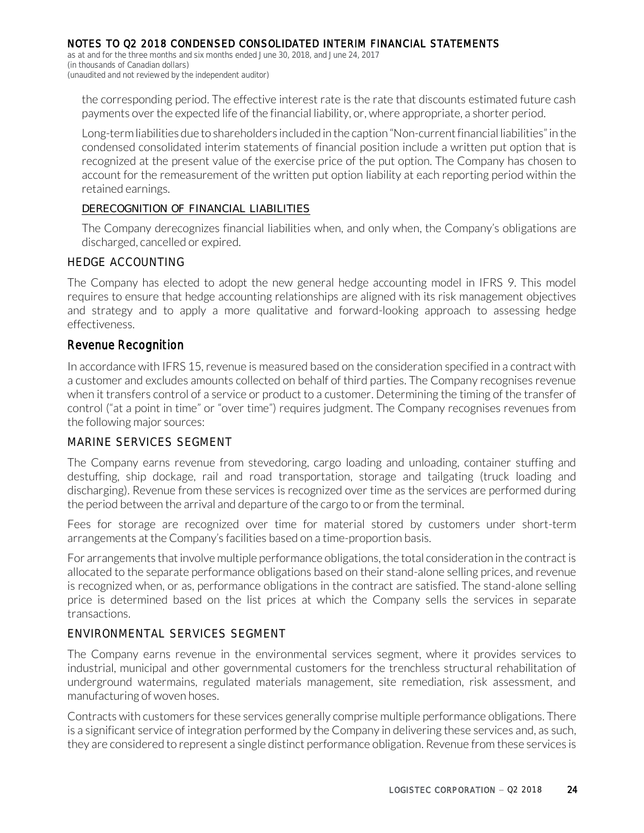as at and for the three months and six months ended June 30, 2018, and June 24, 2017 (in thousands of Canadian dollars) (unaudited and not reviewed by the independent auditor)

the corresponding period. The effective interest rate is the rate that discounts estimated future cash payments over the expected life of the financial liability, or, where appropriate, a shorter period.

Long-term liabilities due to shareholders included in the caption "Non-current financial liabilities" in the condensed consolidated interim statements of financial position include a written put option that is recognized at the present value of the exercise price of the put option. The Company has chosen to account for the remeasurement of the written put option liability at each reporting period within the retained earnings.

#### *DERECOGNITION OF FINANCIAL LIABILITIES*

The Company derecognizes financial liabilities when, and only when, the Company's obligations are discharged, cancelled or expired.

#### HEDGE ACCOUNTING

The Company has elected to adopt the new general hedge accounting model in IFRS 9. This model requires to ensure that hedge accounting relationships are aligned with its risk management objectives and strategy and to apply a more qualitative and forward-looking approach to assessing hedge effectiveness.

#### Revenue Recognition

In accordance with IFRS 15, revenue is measured based on the consideration specified in a contract with a customer and excludes amounts collected on behalf of third parties. The Company recognises revenue when it transfers control of a service or product to a customer. Determining the timing of the transfer of control ("at a point in time" or "over time") requires judgment. The Company recognises revenues from the following major sources:

#### MARINE SERVICES SEGMENT

The Company earns revenue from stevedoring, cargo loading and unloading, container stuffing and destuffing, ship dockage, rail and road transportation, storage and tailgating (truck loading and discharging). Revenue from these services is recognized over time as the services are performed during the period between the arrival and departure of the cargo to or from the terminal.

Fees for storage are recognized over time for material stored by customers under short-term arrangements at the Company's facilities based on a time-proportion basis.

For arrangements that involve multiple performance obligations, the total consideration in the contract is allocated to the separate performance obligations based on their stand-alone selling prices, and revenue is recognized when, or as, performance obligations in the contract are satisfied. The stand-alone selling price is determined based on the list prices at which the Company sells the services in separate transactions.

#### ENVIRONMENTAL SERVICES SEGMENT

The Company earns revenue in the environmental services segment, where it provides services to industrial, municipal and other governmental customers for the trenchless structural rehabilitation of underground watermains, regulated materials management, site remediation, risk assessment, and manufacturing of woven hoses.

Contracts with customers for these services generally comprise multiple performance obligations. There is a significant service of integration performed by the Company in delivering these services and, as such, they are considered to represent a single distinct performance obligation. Revenue from these services is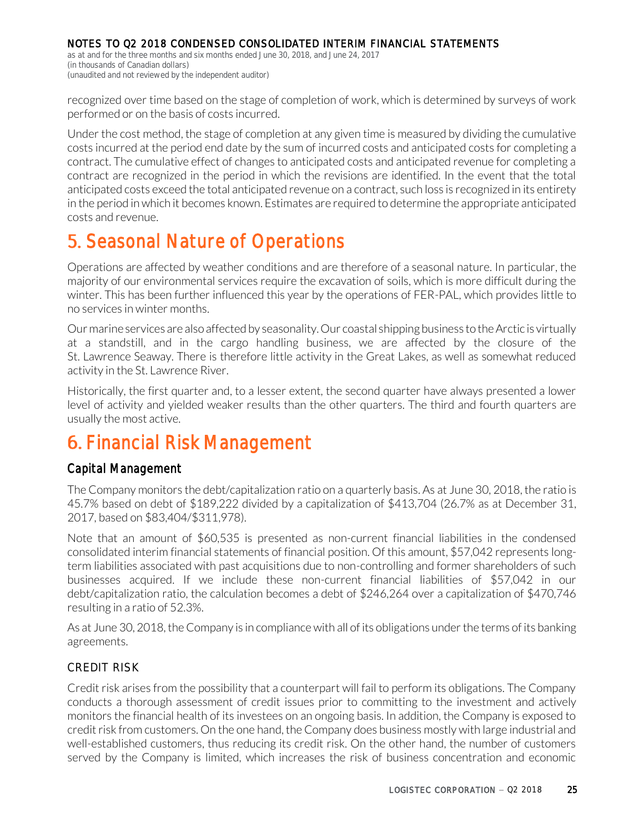as at and for the three months and six months ended June 30, 2018, and June 24, 2017 (in thousands of Canadian dollars) (unaudited and not reviewed by the independent auditor)

recognized over time based on the stage of completion of work, which is determined by surveys of work performed or on the basis of costs incurred.

Under the cost method, the stage of completion at any given time is measured by dividing the cumulative costs incurred at the period end date by the sum of incurred costs and anticipated costs for completing a contract. The cumulative effect of changes to anticipated costs and anticipated revenue for completing a contract are recognized in the period in which the revisions are identified. In the event that the total anticipated costs exceed the total anticipated revenue on a contract, such loss is recognized in its entirety in the period in which it becomes known. Estimates are required to determine the appropriate anticipated costs and revenue.

# **5. Seasonal Nature of Operations**

Operations are affected by weather conditions and are therefore of a seasonal nature. In particular, the majority of our environmental services require the excavation of soils, which is more difficult during the winter. This has been further influenced this year by the operations of FER-PAL, which provides little to no services in winter months.

Our marine services are also affected by seasonality. Our coastal shipping business to the Arctic is virtually at a standstill, and in the cargo handling business, we are affected by the closure of the St. Lawrence Seaway. There is therefore little activity in the Great Lakes, as well as somewhat reduced activity in the St. Lawrence River.

Historically, the first quarter and, to a lesser extent, the second quarter have always presented a lower level of activity and yielded weaker results than the other quarters. The third and fourth quarters are usually the most active.

# **Financial Risk Management**

## Capital Management

The Company monitors the debt/capitalization ratio on a quarterly basis. As at June 30, 2018, the ratio is 45.7% based on debt of \$189,222 divided by a capitalization of \$413,704 (26.7% as at December 31, 2017, based on \$83,404/\$311,978).

Note that an amount of \$60,535 is presented as non-current financial liabilities in the condensed consolidated interim financial statements of financial position. Of this amount, \$57,042 represents longterm liabilities associated with past acquisitions due to non-controlling and former shareholders of such businesses acquired. If we include these non-current financial liabilities of \$57,042 in our debt/capitalization ratio, the calculation becomes a debt of \$246,264 over a capitalization of \$470,746 resulting in a ratio of 52.3%.

As at June 30, 2018, the Company is in compliance with all of its obligations under the terms of its banking agreements.

### CREDIT RISK

Credit risk arises from the possibility that a counterpart will fail to perform its obligations. The Company conducts a thorough assessment of credit issues prior to committing to the investment and actively monitors the financial health of its investees on an ongoing basis. In addition, the Company is exposed to credit risk from customers. On the one hand, the Company does business mostly with large industrial and well-established customers, thus reducing its credit risk. On the other hand, the number of customers served by the Company is limited, which increases the risk of business concentration and economic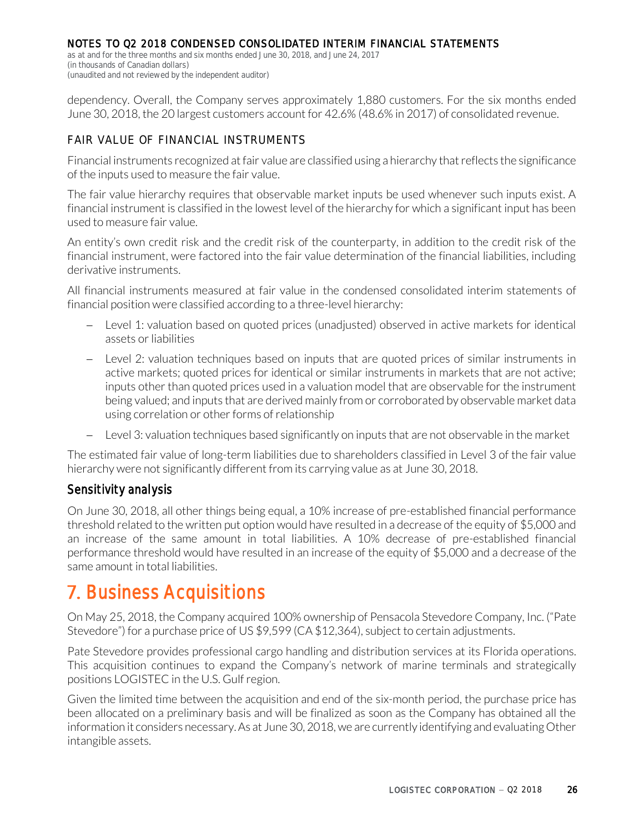as at and for the three months and six months ended June 30, 2018, and June 24, 2017 (in thousands of Canadian dollars) (unaudited and not reviewed by the independent auditor)

dependency. Overall, the Company serves approximately 1,880 customers. For the six months ended June 30, 2018, the 20 largest customers account for 42.6% (48.6% in 2017) of consolidated revenue.

### FAIR VALUE OF FINANCIAL INSTRUMENTS

Financial instruments recognized at fair value are classified using a hierarchy that reflects the significance of the inputs used to measure the fair value.

The fair value hierarchy requires that observable market inputs be used whenever such inputs exist. A financial instrument is classified in the lowest level of the hierarchy for which a significant input has been used to measure fair value.

An entity's own credit risk and the credit risk of the counterparty, in addition to the credit risk of the financial instrument, were factored into the fair value determination of the financial liabilities, including derivative instruments.

All financial instruments measured at fair value in the condensed consolidated interim statements of financial position were classified according to a three-level hierarchy:

- Level 1: valuation based on quoted prices (unadjusted) observed in active markets for identical assets or liabilities
- Level 2: valuation techniques based on inputs that are quoted prices of similar instruments in active markets; quoted prices for identical or similar instruments in markets that are not active; inputs other than quoted prices used in a valuation model that are observable for the instrument being valued; and inputs that are derived mainly from or corroborated by observable market data using correlation or other forms of relationship
- Level 3: valuation techniques based significantly on inputs that are not observable in the market

The estimated fair value of long-term liabilities due to shareholders classified in Level 3 of the fair value hierarchy were not significantly different from its carrying value as at June 30, 2018.

### Sensitivity analysis

On June 30, 2018, all other things being equal, a 10% increase of pre-established financial performance threshold related to the written put option would have resulted in a decrease of the equity of \$5,000 and an increase of the same amount in total liabilities. A 10% decrease of pre-established financial performance threshold would have resulted in an increase of the equity of \$5,000 and a decrease of the same amount in total liabilities.

# **Business Acquisitions**

On May 25, 2018, the Company acquired 100% ownership of Pensacola Stevedore Company, Inc. ("Pate Stevedore") for a purchase price of US \$9,599 (CA \$12,364), subject to certain adjustments.

Pate Stevedore provides professional cargo handling and distribution services at its Florida operations. This acquisition continues to expand the Company's network of marine terminals and strategically positions LOGISTEC in the U.S. Gulf region.

Given the limited time between the acquisition and end of the six-month period, the purchase price has been allocated on a preliminary basis and will be finalized as soon as the Company has obtained all the information it considers necessary. As at June 30, 2018, we are currently identifying and evaluating Other intangible assets.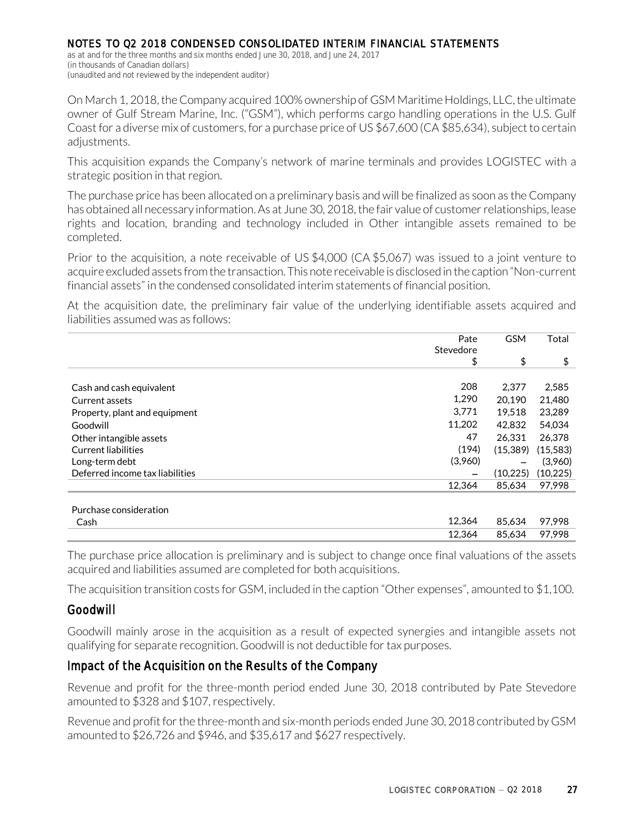as at and for the three months and six months ended June 30, 2018, and June 24, 2017 (in thousands of Canadian dollars) (unaudited and not reviewed by the independent auditor)

On March 1, 2018, the Company acquired 100% ownership of GSM Maritime Holdings, LLC, the ultimate owner of Gulf Stream Marine, Inc. ("GSM"), which performs cargo handling operations in the U.S. Gulf Coast for a diverse mix of customers, for a purchase price of US \$67,600 (CA \$85,634), subject to certain adjustments.

This acquisition expands the Company's network of marine terminals and provides LOGISTEC with a strategic position in that region.

The purchase price has been allocated on a preliminary basis and will be finalized as soon as the Company has obtained all necessary information. As at June 30, 2018, the fair value of customer relationships, lease rights and location, branding and technology included in Other intangible assets remained to be completed.

Prior to the acquisition, a note receivable of US \$4,000 (CA \$5,067) was issued to a joint venture to acquire excluded assets from the transaction. This note receivable is disclosed in the caption "Non-current financial assets" in the condensed consolidated interim statements of financial position.

At the acquisition date, the preliminary fair value of the underlying identifiable assets acquired and liabilities assumed was as follows:

|                                 | Pate<br>Stevedore | <b>GSM</b> | Total    |
|---------------------------------|-------------------|------------|----------|
|                                 | \$                | \$         | \$       |
|                                 |                   |            |          |
| Cash and cash equivalent        | 208               | 2.377      | 2,585    |
| Current assets                  | 1,290             | 20.190     | 21,480   |
| Property, plant and equipment   | 3.771             | 19.518     | 23.289   |
| Goodwill                        | 11,202            | 42.832     | 54,034   |
| Other intangible assets         | 47                | 26.331     | 26,378   |
| <b>Current liabilities</b>      | (194)             | (15,389)   | (15,583) |
| Long-term debt                  | (3,960)           |            | (3,960)  |
| Deferred income tax liabilities |                   | (10, 225)  | (10,225) |
|                                 | 12,364            | 85,634     | 97,998   |
|                                 |                   |            |          |
| Purchase consideration          |                   |            |          |

| Cash | –4,364ء۔ | .634       | 97.998 |
|------|----------|------------|--------|
|      | ⊥∠,364   | .634<br>oε | .998   |

The purchase price allocation is preliminary and is subject to change once final valuations of the assets acquired and liabilities assumed are completed for both acquisitions.

The acquisition transition costs for GSM, included in the caption "Other expenses", amounted to \$1,100.

## Goodwill

Goodwill mainly arose in the acquisition as a result of expected synergies and intangible assets not qualifying for separate recognition. Goodwill is not deductible for tax purposes.

## Impact of the Acquisition on the Results of the Company

Revenue and profit for the three-month period ended June 30, 2018 contributed by Pate Stevedore amounted to \$328 and \$107, respectively.

Revenue and profit for the three-month and six-month periods ended June 30, 2018 contributed by GSM amounted to \$26,726 and \$946, and \$35,617 and \$627 respectively.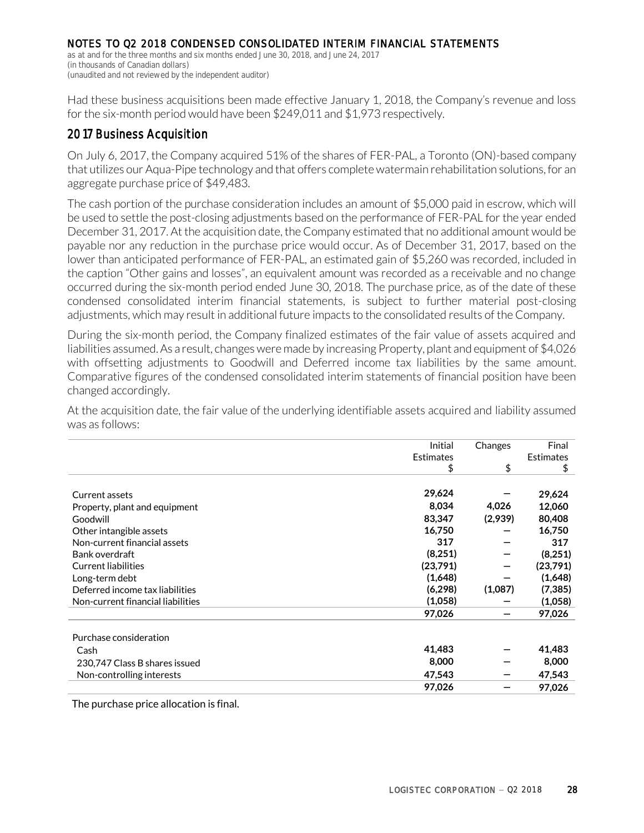as at and for the three months and six months ended June 30, 2018, and June 24, 2017 (in thousands of Canadian dollars) (unaudited and not reviewed by the independent auditor)

Had these business acquisitions been made effective January 1, 2018, the Company's revenue and loss for the six-month period would have been \$249,011 and \$1,973 respectively.

# 2017 Business Acquisition

On July 6, 2017, the Company acquired 51% of the shares of FER-PAL, a Toronto (ON)-based company that utilizes our Aqua-Pipe technology and that offers complete watermain rehabilitation solutions, for an aggregate purchase price of \$49,483.

The cash portion of the purchase consideration includes an amount of \$5,000 paid in escrow, which will be used to settle the post-closing adjustments based on the performance of FER-PAL for the year ended December 31, 2017. At the acquisition date, the Company estimated that no additional amount would be payable nor any reduction in the purchase price would occur. As of December 31, 2017, based on the lower than anticipated performance of FER-PAL, an estimated gain of \$5,260 was recorded, included in the caption "Other gains and losses", an equivalent amount was recorded as a receivable and no change occurred during the six-month period ended June 30, 2018. The purchase price, as of the date of these condensed consolidated interim financial statements, is subject to further material post-closing adjustments, which may result in additional future impacts to the consolidated results of the Company.

During the six-month period, the Company finalized estimates of the fair value of assets acquired and liabilities assumed. As a result, changes were made by increasing Property, plant and equipment of \$4,026 with offsetting adjustments to Goodwill and Deferred income tax liabilities by the same amount. Comparative figures of the condensed consolidated interim statements of financial position have been changed accordingly.

At the acquisition date, the fair value of the underlying identifiable assets acquired and liability assumed was as follows:

|                                   | Initial          | Changes | Final            |
|-----------------------------------|------------------|---------|------------------|
|                                   | <b>Estimates</b> |         | <b>Estimates</b> |
|                                   |                  |         |                  |
|                                   | \$               | \$      | \$               |
| Current assets                    | 29,624           |         | 29,624           |
| Property, plant and equipment     | 8,034            | 4,026   | 12,060           |
| Goodwill                          | 83,347           | (2,939) | 80,408           |
| Other intangible assets           | 16,750           |         | 16,750           |
| Non-current financial assets      | 317              |         | 317              |
| Bank overdraft                    | (8,251)          |         | (8,251)          |
| <b>Current liabilities</b>        | (23,791)         |         | (23,791)         |
| Long-term debt                    | (1,648)          |         | (1,648)          |
| Deferred income tax liabilities   | (6, 298)         | (1,087) | (7, 385)         |
| Non-current financial liabilities | (1,058)          |         | (1,058)          |
|                                   | 97,026           |         | 97,026           |
| Purchase consideration            |                  |         |                  |
| Cash                              | 41,483           |         | 41,483           |
| 230,747 Class B shares issued     | 8,000            |         | 8,000            |
| Non-controlling interests         | 47,543           |         | 47,543           |
|                                   | 97,026           |         | 97,026           |

The purchase price allocation is final.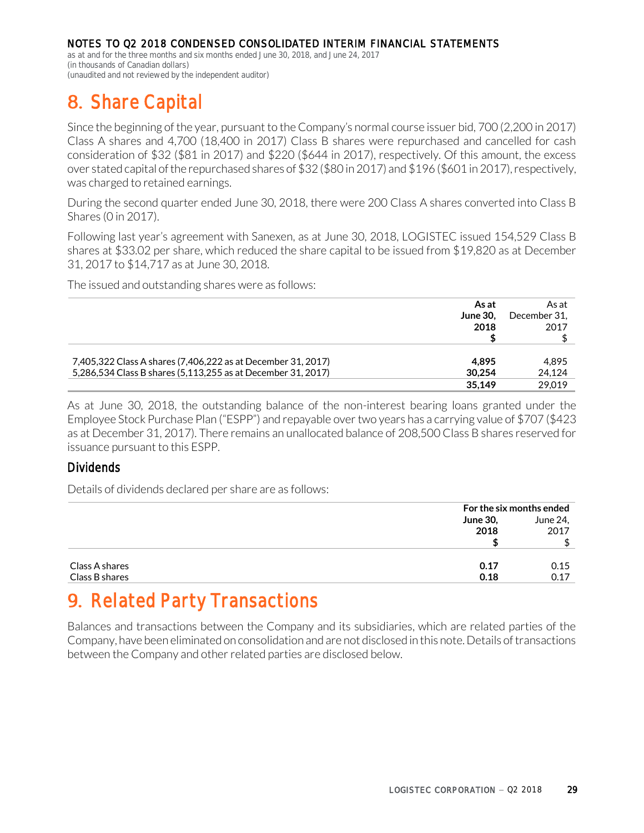as at and for the three months and six months ended June 30, 2018, and June 24, 2017 (in thousands of Canadian dollars) (unaudited and not reviewed by the independent auditor)

# **Share Capital**

Since the beginning of the year, pursuant to the Company's normal course issuer bid, 700 (2,200 in 2017) Class A shares and 4,700 (18,400 in 2017) Class B shares were repurchased and cancelled for cash consideration of \$32 (\$81 in 2017) and \$220 (\$644 in 2017), respectively. Of this amount, the excess over stated capital of the repurchased shares of \$32 (\$80 in 2017) and \$196 (\$601 in 2017), respectively, was charged to retained earnings.

During the second quarter ended June 30, 2018, there were 200 Class A shares converted into Class B Shares (0 in 2017).

Following last year's agreement with Sanexen, as at June 30, 2018, LOGISTEC issued 154,529 Class B shares at \$33.02 per share, which reduced the share capital to be issued from \$19,820 as at December 31, 2017 to \$14,717 as at June 30, 2018.

The issued and outstanding shares were as follows:

| As at                                                                  | As at        |
|------------------------------------------------------------------------|--------------|
| <b>June 30.</b>                                                        | December 31. |
| 2018                                                                   | 2017         |
|                                                                        |              |
|                                                                        |              |
| 7,405,322 Class A shares (7,406,222 as at December 31, 2017)<br>4.895  | 4.895        |
| 5,286,534 Class B shares (5,113,255 as at December 31, 2017)<br>30.254 | 24,124       |
| 35.149                                                                 | 29.019       |

As at June 30, 2018, the outstanding balance of the non-interest bearing loans granted under the Employee Stock Purchase Plan ("ESPP") and repayable over two years has a carrying value of \$707 (\$423 as at December 31, 2017). There remains an unallocated balance of 208,500 Class B shares reserved for issuance pursuant to this ESPP.

## Dividends

Details of dividends declared per share are as follows:

|                |                 | For the six months ended |  |
|----------------|-----------------|--------------------------|--|
|                | <b>June 30,</b> | June 24,                 |  |
|                | 2018            | 2017                     |  |
|                |                 |                          |  |
|                |                 |                          |  |
| Class A shares | 0.17            | 0.15                     |  |
| Class B shares | 0.18            | 0.17                     |  |

# **9. Related Party Transactions**

Balances and transactions between the Company and its subsidiaries, which are related parties of the Company, have been eliminated on consolidation and are not disclosed in this note. Details of transactions between the Company and other related parties are disclosed below.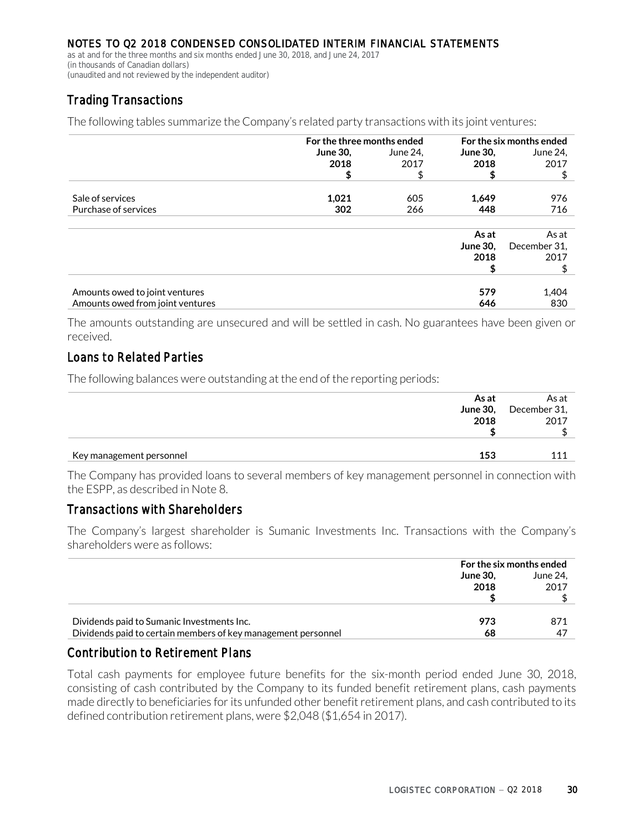as at and for the three months and six months ended June 30, 2018, and June 24, 2017 (in thousands of Canadian dollars) (unaudited and not reviewed by the independent auditor)

# Trading Transactions

The following tables summarize the Company's related party transactions with its joint ventures:

|                                  | For the three months ended |          |                 | For the six months ended |
|----------------------------------|----------------------------|----------|-----------------|--------------------------|
|                                  | <b>June 30,</b>            | June 24, | <b>June 30,</b> | June 24,                 |
|                                  | 2018                       | 2017     | 2018            | 2017                     |
|                                  | \$                         | \$       | \$              | \$                       |
| Sale of services                 | 1,021                      | 605      | 1,649           | 976                      |
| Purchase of services             | 302                        | 266      | 448             | 716                      |
|                                  |                            |          |                 |                          |
|                                  |                            |          | As at           | As at                    |
|                                  |                            |          | <b>June 30.</b> | December 31,             |
|                                  |                            |          | 2018            | 2017                     |
|                                  |                            |          |                 |                          |
|                                  |                            |          |                 |                          |
| Amounts owed to joint ventures   |                            |          | 579             | 1,404                    |
| Amounts owed from joint ventures |                            |          | 646             | 830                      |

The amounts outstanding are unsecured and will be settled in cash. No guarantees have been given or received.

## Loans to Related Parties

The following balances were outstanding at the end of the reporting periods:

|                          | As at | As at                 |
|--------------------------|-------|-----------------------|
|                          |       | June 30, December 31, |
|                          | 2018  | 2017                  |
|                          |       |                       |
|                          |       |                       |
| Key management personnel | 153   |                       |

The Company has provided loans to several members of key management personnel in connection with the ESPP, as described in Note 8.

## Transactions with Shareholders

The Company's largest shareholder is Sumanic Investments Inc. Transactions with the Company's shareholders were as follows:

|                                                               | For the six months ended |          |
|---------------------------------------------------------------|--------------------------|----------|
|                                                               | <b>June 30.</b>          | June 24. |
|                                                               | 2018                     | 2017     |
|                                                               |                          |          |
|                                                               |                          |          |
| Dividends paid to Sumanic Investments Inc.                    | 973                      | 871      |
| Dividends paid to certain members of key management personnel | 68                       | 47       |

### Contribution to Retirement Plans

Total cash payments for employee future benefits for the six-month period ended June 30, 2018, consisting of cash contributed by the Company to its funded benefit retirement plans, cash payments made directly to beneficiaries for its unfunded other benefit retirement plans, and cash contributed to its defined contribution retirement plans, were \$2,048 (\$1,654 in 2017).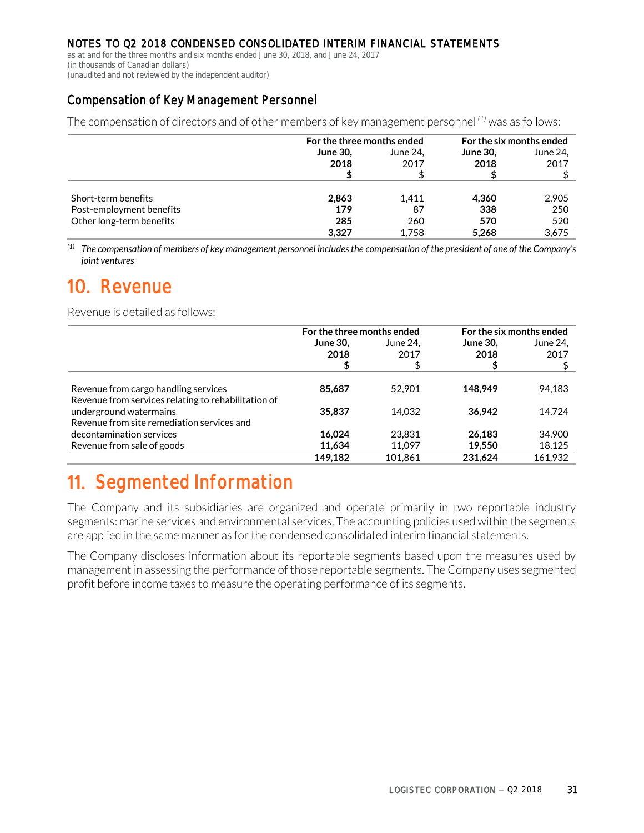as at and for the three months and six months ended June 30, 2018, and June 24, 2017 (in thousands of Canadian dollars)

(unaudited and not reviewed by the independent auditor)

# Compensation of Key Management Personnel

The compensation of directors and of other members of key management personnel *(1)* was as follows:

|                          | For the three months ended |          | For the six months ended |          |
|--------------------------|----------------------------|----------|--------------------------|----------|
|                          | <b>June 30,</b>            | June 24. | <b>June 30,</b>          | June 24, |
|                          | 2018                       | 2017     | 2018                     | 2017     |
|                          |                            |          |                          |          |
|                          |                            |          |                          |          |
| Short-term benefits      | 2,863                      | 1.411    | 4.360                    | 2,905    |
| Post-employment benefits | 179                        | 87       | 338                      | 250      |
| Other long-term benefits | 285                        | 260      | 570                      | 520      |
|                          | 3.327                      | 1.758    | 5.268                    | 3.675    |

*(1) The compensation of members of key management personnel includes the compensation of the president of one of the Company's joint ventures*

# **10.** Revenue

Revenue is detailed as follows:

|                                                     | For the three months ended |          |                 |          | For the six months ended |
|-----------------------------------------------------|----------------------------|----------|-----------------|----------|--------------------------|
|                                                     | <b>June 30.</b>            | June 24. | <b>June 30.</b> | June 24, |                          |
|                                                     | 2018                       | 2017     | 2018            | 2017     |                          |
|                                                     |                            | \$       |                 |          |                          |
|                                                     |                            |          |                 |          |                          |
| Revenue from cargo handling services                | 85,687                     | 52,901   | 148.949         | 94,183   |                          |
| Revenue from services relating to rehabilitation of |                            |          |                 |          |                          |
| underground watermains                              | 35,837                     | 14.032   | 36.942          | 14,724   |                          |
| Revenue from site remediation services and          |                            |          |                 |          |                          |
| decontamination services                            | 16.024                     | 23,831   | 26,183          | 34,900   |                          |
| Revenue from sale of goods                          | 11.634                     | 11.097   | 19,550          | 18,125   |                          |
|                                                     | 149.182                    | 101.861  | 231.624         | 161.932  |                          |

# **11. Segmented Information**

The Company and its subsidiaries are organized and operate primarily in two reportable industry segments: marine services and environmental services. The accounting policies used within the segments are applied in the same manner as for the condensed consolidated interim financial statements.

The Company discloses information about its reportable segments based upon the measures used by management in assessing the performance of those reportable segments. The Company uses segmented profit before income taxes to measure the operating performance of its segments.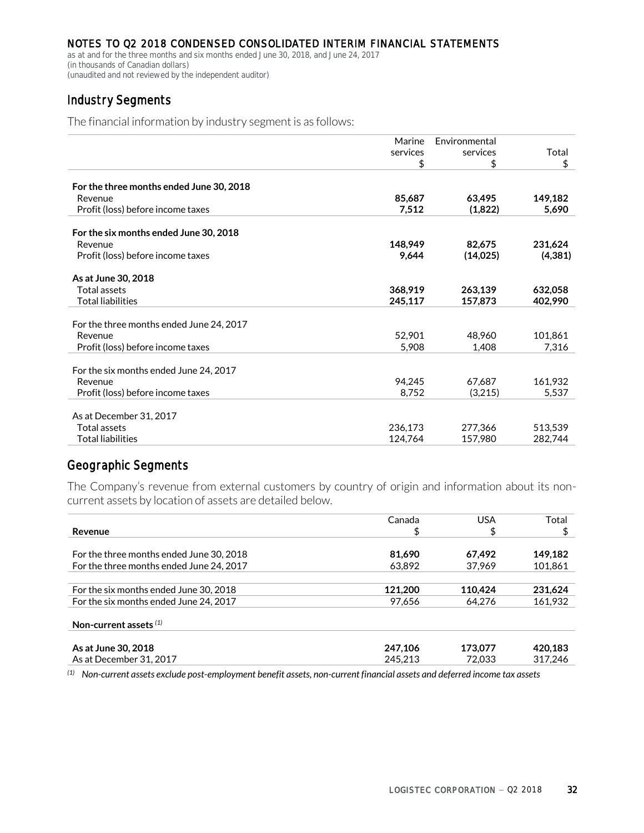as at and for the three months and six months ended June 30, 2018, and June 24, 2017 (in thousands of Canadian dollars) (unaudited and not reviewed by the independent auditor)

# Industry Segments

The financial information by industry segment is as follows:

| Total    |
|----------|
|          |
| \$       |
|          |
| 149,182  |
| 5,690    |
|          |
|          |
| 231,624  |
| (4, 381) |
|          |
| 632,058  |
| 402,990  |
|          |
| 101,861  |
| 7,316    |
|          |
|          |
| 161,932  |
| 5,537    |
|          |
| 513,539  |
| 282,744  |
|          |

# Geographic Segments

The Company's revenue from external customers by country of origin and information about its noncurrent assets by location of assets are detailed below.

|                                          | Canada  | <b>USA</b> | Total   |
|------------------------------------------|---------|------------|---------|
| Revenue                                  | \$      | \$         |         |
| For the three months ended June 30, 2018 | 81.690  | 67.492     | 149.182 |
| For the three months ended June 24, 2017 | 63.892  | 37.969     | 101,861 |
| For the six months ended June 30, 2018   | 121.200 | 110.424    | 231,624 |
| For the six months ended June 24, 2017   | 97,656  | 64.276     | 161.932 |
| Non-current assets $(1)$                 |         |            |         |
| As at June 30, 2018                      | 247,106 | 173,077    | 420,183 |
| As at December 31, 2017                  | 245.213 | 72.033     | 317.246 |

*(1) Non-current assets exclude post-employment benefit assets, non-current financial assets and deferred income tax assets*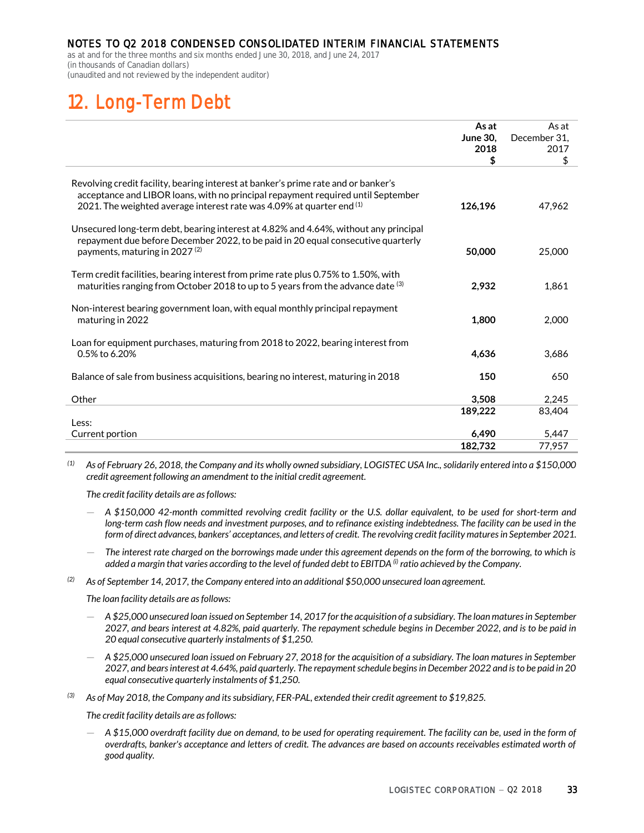as at and for the three months and six months ended June 30, 2018, and June 24, 2017 (in thousands of Canadian dollars) (unaudited and not reviewed by the independent auditor)

# **12. Long-Term Debt**

|                                                                                                                                                                                                                                                   | As at<br><b>June 30,</b><br>2018<br>\$ | As at<br>December 31.<br>2017<br>\$ |
|---------------------------------------------------------------------------------------------------------------------------------------------------------------------------------------------------------------------------------------------------|----------------------------------------|-------------------------------------|
| Revolving credit facility, bearing interest at banker's prime rate and or banker's<br>acceptance and LIBOR loans, with no principal repayment required until September<br>2021. The weighted average interest rate was 4.09% at quarter end $(1)$ | 126,196                                | 47.962                              |
| Unsecured long-term debt, bearing interest at 4.82% and 4.64%, without any principal<br>repayment due before December 2022, to be paid in 20 equal consecutive quarterly<br>payments, maturing in 2027 <sup>(2)</sup>                             | 50,000                                 | 25,000                              |
| Term credit facilities, bearing interest from prime rate plus 0.75% to 1.50%, with<br>maturities ranging from October 2018 to up to 5 years from the advance date (3)                                                                             | 2.932                                  | 1.861                               |
| Non-interest bearing government loan, with equal monthly principal repayment<br>maturing in 2022                                                                                                                                                  | 1,800                                  | 2,000                               |
| Loan for equipment purchases, maturing from 2018 to 2022, bearing interest from<br>0.5% to 6.20%                                                                                                                                                  | 4,636                                  | 3,686                               |
| Balance of sale from business acquisitions, bearing no interest, maturing in 2018                                                                                                                                                                 | 150                                    | 650                                 |
| Other                                                                                                                                                                                                                                             | 3,508                                  | 2.245                               |
| Less:                                                                                                                                                                                                                                             | 189,222                                | 83,404                              |
| Current portion                                                                                                                                                                                                                                   | 6,490                                  | 5,447                               |
|                                                                                                                                                                                                                                                   | 182,732                                | 77,957                              |

*(1) As of February 26, 2018, the Company and its wholly owned subsidiary, LOGISTEC USA Inc., solidarily entered into a \$150,000 credit agreement following an amendment to the initial credit agreement.*

*The credit facility details are as follows:*

- *A \$150,000 42-month committed revolving credit facility or the U.S. dollar equivalent, to be used for short-term and*  long-term cash flow needs and investment purposes, and to refinance existing indebtedness. The facility can be used in the *form of direct advances, bankers' acceptances, and letters of credit. The revolving credit facility matures in September 2021.*
- *The interest rate charged on the borrowings made under this agreement depends on the form of the borrowing, to which is*  added a margin that varies according to the level of funded debt to EBITDA <sup>(i)</sup> ratio achieved by the Company.
- *(2) As of September 14, 2017, the Company entered into an additional \$50,000 unsecured loan agreement.*

*The loan facility details are as follows:*

- *A \$25,000 unsecured loan issued on September 14, 2017 for the acquisition of a subsidiary. The loan matures in September 2027, and bears interest at 4.82%, paid quarterly. The repayment schedule begins in December 2022, and is to be paid in 20 equal consecutive quarterly instalments of \$1,250.*
- *A \$25,000 unsecured loan issued on February 27, 2018 for the acquisition of a subsidiary. The loan matures in September 2027, and bears interest at 4.64%, paid quarterly. The repayment schedule begins in December 2022 and is to be paid in 20 equal consecutive quarterly instalments of \$1,250.*
- *(3) As of May 2018, the Company and its subsidiary, FER-PAL, extended their credit agreement to \$19,825.*

*The credit facility details are as follows:*

— *A \$15,000 overdraft facility due on demand, to be used for operating requirement. The facility can be, used in the form of overdrafts, banker's acceptance and letters of credit. The advances are based on accounts receivables estimated worth of good quality.*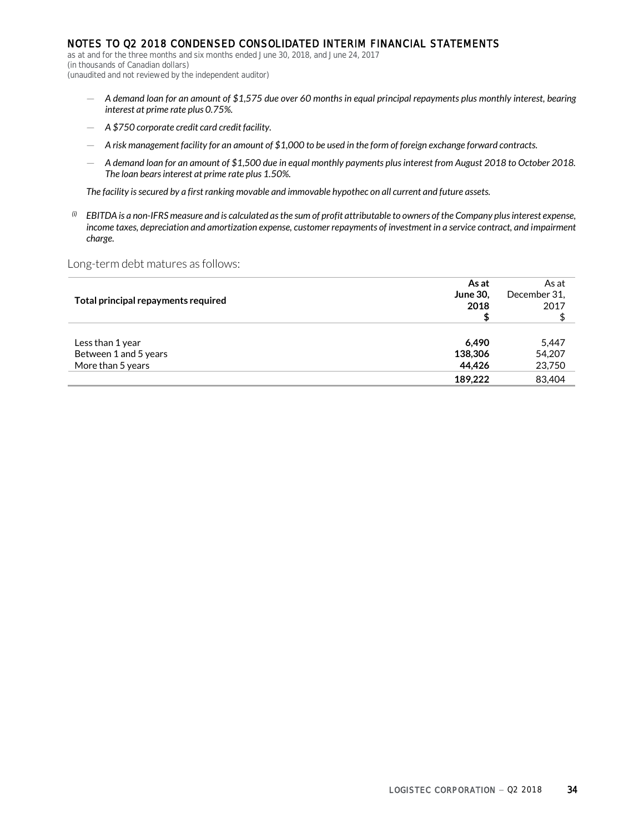as at and for the three months and six months ended June 30, 2018, and June 24, 2017 (in thousands of Canadian dollars) (unaudited and not reviewed by the independent auditor)

- *A demand loan for an amount of \$1,575 due over 60 months in equal principal repayments plus monthly interest, bearing interest at prime rate plus 0.75%.*
- *A \$750 corporate credit card credit facility.*
- *A risk management facility for an amount of \$1,000 to be used in the form of foreign exchange forward contracts.*
- *A demand loan for an amount of \$1,500 due in equal monthly payments plus interest from August 2018 to October 2018. The loan bears interest at prime rate plus 1.50%.*

*The facility issecured by a first ranking movable and immovable hypothec on all current and future assets.*

*(i) EBITDA is a non-IFRS measure and is calculated as the sum of profit attributable to owners of the Company plus interest expense,*  income taxes, depreciation and amortization expense, customer repayments of investment in a service contract, and impairment *charge.*

Long-term debt matures as follows:

|                                     | As at           | As at        |
|-------------------------------------|-----------------|--------------|
|                                     | <b>June 30.</b> | December 31. |
| Total principal repayments required | 2018            | 2017         |
|                                     |                 |              |
|                                     |                 |              |
| Less than 1 year                    | 6.490           | 5,447        |
| Between 1 and 5 years               | 138,306         | 54,207       |
| More than 5 years                   | 44.426          | 23,750       |
|                                     | 189.222         | 83,404       |